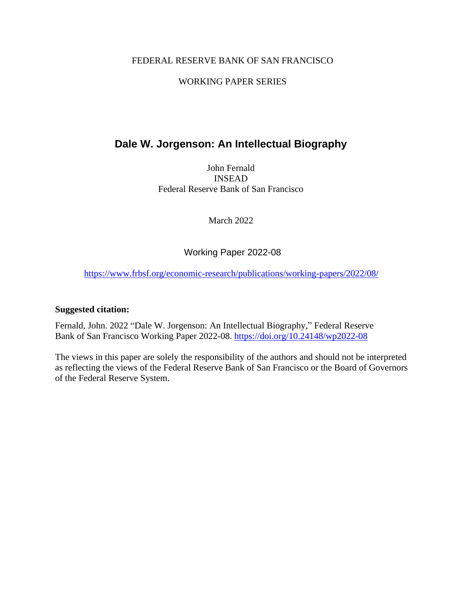### FEDERAL RESERVE BANK OF SAN FRANCISCO

### WORKING PAPER SERIES

# **Dale W. Jorgenson: An Intellectual Biography**

John Fernald INSEAD Federal Reserve Bank of San Francisco

March 2022

Working Paper 2022-08

<https://www.frbsf.org/economic-research/publications/working-papers/2022/08/>

### **Suggested citation:**

Fernald, John. 2022 "Dale W. Jorgenson: An Intellectual Biography," Federal Reserve Bank of San Francisco Working Paper 2022-08. https://doi.org/10.24148/wp2022-08

The views in this paper are solely the responsibility of the authors and should not be interpreted as reflecting the views of the Federal Reserve Bank of San Francisco or the Board of Governors of the Federal Reserve System.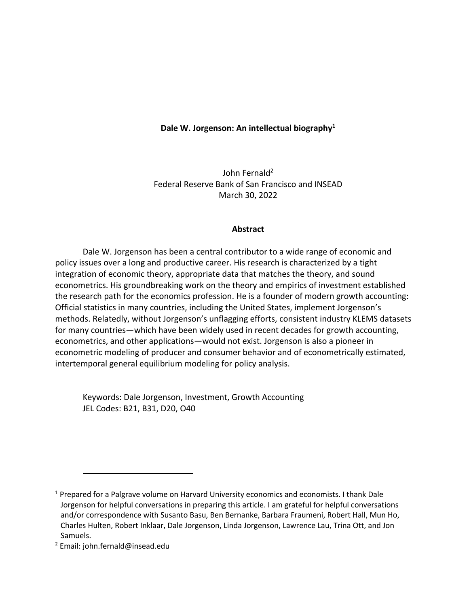#### **Dale W. Jorgenson: An intellectual biography1**

John Fernald<sup>2</sup> Federal Reserve Bank of San Francisco and INSEAD March 30, 2022

#### **Abstract**

Dale W. Jorgenson has been a central contributor to a wide range of economic and policy issues over a long and productive career. His research is characterized by a tight integration of economic theory, appropriate data that matches the theory, and sound econometrics. His groundbreaking work on the theory and empirics of investment established the research path for the economics profession. He is a founder of modern growth accounting: Official statistics in many countries, including the United States, implement Jorgenson's methods. Relatedly, without Jorgenson's unflagging efforts, consistent industry KLEMS datasets for many countries—which have been widely used in recent decades for growth accounting, econometrics, and other applications—would not exist. Jorgenson is also a pioneer in econometric modeling of producer and consumer behavior and of econometrically estimated, intertemporal general equilibrium modeling for policy analysis.

Keywords: Dale Jorgenson, Investment, Growth Accounting JEL Codes: B21, B31, D20, O40

<sup>&</sup>lt;sup>1</sup> Prepared for a Palgrave volume on Harvard University economics and economists. I thank Dale Jorgenson for helpful conversations in preparing this article. I am grateful for helpful conversations and/or correspondence with Susanto Basu, Ben Bernanke, Barbara Fraumeni, Robert Hall, Mun Ho, Charles Hulten, Robert Inklaar, Dale Jorgenson, Linda Jorgenson, Lawrence Lau, Trina Ott, and Jon Samuels.

 $2$  Email: john.fernald@insead.edu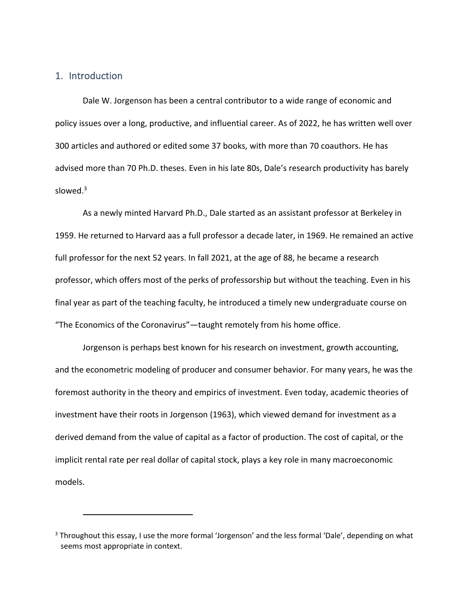### 1. Introduction

Dale W. Jorgenson has been a central contributor to a wide range of economic and policy issues over a long, productive, and influential career. As of 2022, he has written well over 300 articles and authored or edited some 37 books, with more than 70 coauthors. He has advised more than 70 Ph.D. theses. Even in his late 80s, Dale's research productivity has barely slowed. $3$ 

As a newly minted Harvard Ph.D., Dale started as an assistant professor at Berkeley in 1959. He returned to Harvard aas a full professor a decade later, in 1969. He remained an active full professor for the next 52 years. In fall 2021, at the age of 88, he became a research professor, which offers most of the perks of professorship but without the teaching. Even in his final year as part of the teaching faculty, he introduced a timely new undergraduate course on "The Economics of the Coronavirus"—taught remotely from his home office.

Jorgenson is perhaps best known for his research on investment, growth accounting, and the econometric modeling of producer and consumer behavior. For many years, he was the foremost authority in the theory and empirics of investment. Even today, academic theories of investment have their roots in Jorgenson (1963), which viewed demand for investment as a derived demand from the value of capital as a factor of production. The cost of capital, or the implicit rental rate per real dollar of capital stock, plays a key role in many macroeconomic models.

<sup>3</sup> Throughout this essay, I use the more formal 'Jorgenson' and the less formal 'Dale', depending on what seems most appropriate in context.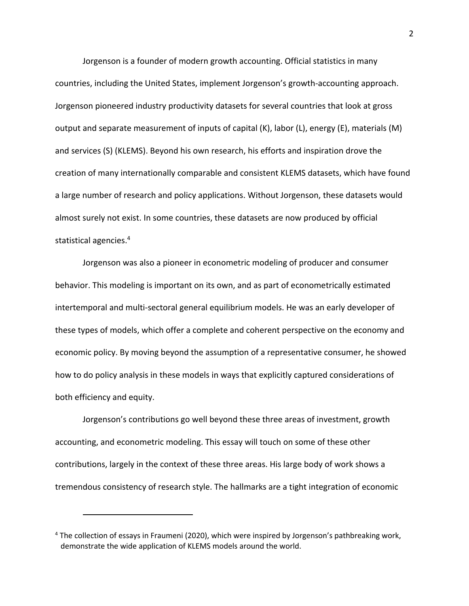Jorgenson is a founder of modern growth accounting. Official statistics in many countries, including the United States, implement Jorgenson's growth-accounting approach. Jorgenson pioneered industry productivity datasets for several countries that look at gross output and separate measurement of inputs of capital (K), labor (L), energy (E), materials (M) and services (S) (KLEMS). Beyond his own research, his efforts and inspiration drove the creation of many internationally comparable and consistent KLEMS datasets, which have found a large number of research and policy applications. Without Jorgenson, these datasets would almost surely not exist. In some countries, these datasets are now produced by official statistical agencies.4

Jorgenson was also a pioneer in econometric modeling of producer and consumer behavior. This modeling is important on its own, and as part of econometrically estimated intertemporal and multi-sectoral general equilibrium models. He was an early developer of these types of models, which offer a complete and coherent perspective on the economy and economic policy. By moving beyond the assumption of a representative consumer, he showed how to do policy analysis in these models in ways that explicitly captured considerations of both efficiency and equity.

Jorgenson's contributions go well beyond these three areas of investment, growth accounting, and econometric modeling. This essay will touch on some of these other contributions, largely in the context of these three areas. His large body of work shows a tremendous consistency of research style. The hallmarks are a tight integration of economic

<sup>4</sup> The collection of essays in Fraumeni (2020), which were inspired by Jorgenson's pathbreaking work, demonstrate the wide application of KLEMS models around the world.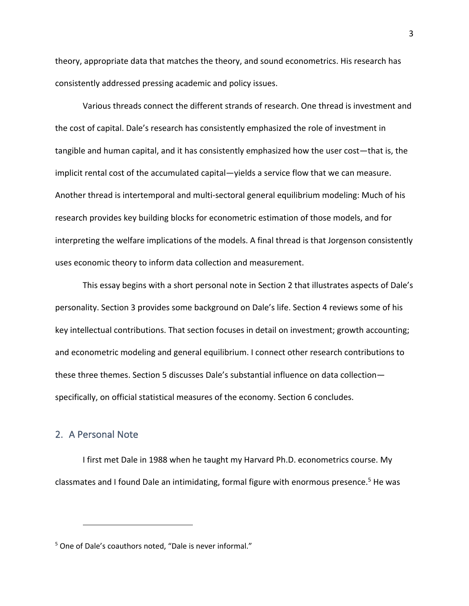theory, appropriate data that matches the theory, and sound econometrics. His research has consistently addressed pressing academic and policy issues.

Various threads connect the different strands of research. One thread is investment and the cost of capital. Dale's research has consistently emphasized the role of investment in tangible and human capital, and it has consistently emphasized how the user cost—that is, the implicit rental cost of the accumulated capital—yields a service flow that we can measure. Another thread is intertemporal and multi-sectoral general equilibrium modeling: Much of his research provides key building blocks for econometric estimation of those models, and for interpreting the welfare implications of the models. A final thread is that Jorgenson consistently uses economic theory to inform data collection and measurement.

This essay begins with a short personal note in Section 2 that illustrates aspects of Dale's personality. Section 3 provides some background on Dale's life. Section 4 reviews some of his key intellectual contributions. That section focuses in detail on investment; growth accounting; and econometric modeling and general equilibrium. I connect other research contributions to these three themes. Section 5 discusses Dale's substantial influence on data collection specifically, on official statistical measures of the economy. Section 6 concludes.

### 2. A Personal Note

I first met Dale in 1988 when he taught my Harvard Ph.D. econometrics course. My classmates and I found Dale an intimidating, formal figure with enormous presence. <sup>5</sup> He was

<sup>5</sup> One of Dale's coauthors noted, "Dale is never informal."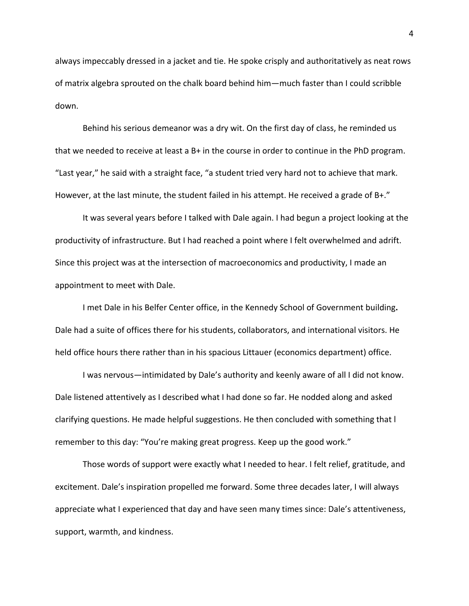always impeccably dressed in a jacket and tie. He spoke crisply and authoritatively as neat rows of matrix algebra sprouted on the chalk board behind him—much faster than I could scribble down.

Behind his serious demeanor was a dry wit. On the first day of class, he reminded us that we needed to receive at least a B+ in the course in order to continue in the PhD program. "Last year," he said with a straight face, "a student tried very hard not to achieve that mark. However, at the last minute, the student failed in his attempt. He received a grade of B+."

It was several years before I talked with Dale again. I had begun a project looking at the productivity of infrastructure. But I had reached a point where I felt overwhelmed and adrift. Since this project was at the intersection of macroeconomics and productivity, I made an appointment to meet with Dale.

I met Dale in his Belfer Center office, in the Kennedy School of Government building**.** Dale had a suite of offices there for his students, collaborators, and international visitors. He held office hours there rather than in his spacious Littauer (economics department) office.

I was nervous—intimidated by Dale's authority and keenly aware of all I did not know. Dale listened attentively as I described what I had done so far. He nodded along and asked clarifying questions. He made helpful suggestions. He then concluded with something that l remember to this day: "You're making great progress. Keep up the good work."

Those words of support were exactly what I needed to hear. I felt relief, gratitude, and excitement. Dale's inspiration propelled me forward. Some three decades later, I will always appreciate what I experienced that day and have seen many times since: Dale's attentiveness, support, warmth, and kindness.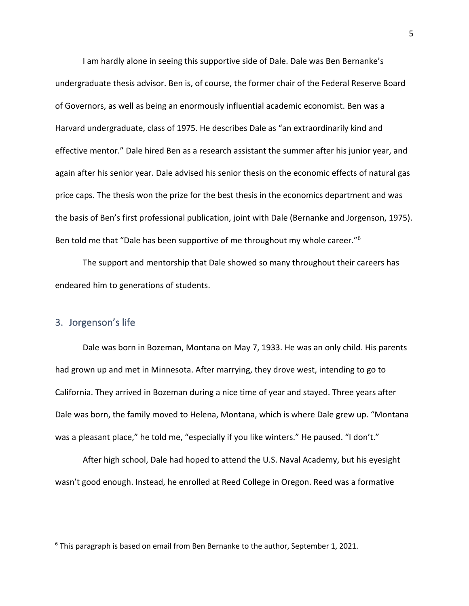I am hardly alone in seeing this supportive side of Dale. Dale was Ben Bernanke's undergraduate thesis advisor. Ben is, of course, the former chair of the Federal Reserve Board of Governors, as well as being an enormously influential academic economist. Ben was a Harvard undergraduate, class of 1975. He describes Dale as "an extraordinarily kind and effective mentor." Dale hired Ben as a research assistant the summer after his junior year, and again after his senior year. Dale advised his senior thesis on the economic effects of natural gas price caps. The thesis won the prize for the best thesis in the economics department and was the basis of Ben's first professional publication, joint with Dale (Bernanke and Jorgenson, 1975). Ben told me that "Dale has been supportive of me throughout my whole career."6

The support and mentorship that Dale showed so many throughout their careers has endeared him to generations of students.

### 3. Jorgenson's life

Dale was born in Bozeman, Montana on May 7, 1933. He was an only child. His parents had grown up and met in Minnesota. After marrying, they drove west, intending to go to California. They arrived in Bozeman during a nice time of year and stayed. Three years after Dale was born, the family moved to Helena, Montana, which is where Dale grew up. "Montana was a pleasant place," he told me, "especially if you like winters." He paused. "I don't."

After high school, Dale had hoped to attend the U.S. Naval Academy, but his eyesight wasn't good enough. Instead, he enrolled at Reed College in Oregon. Reed was a formative

 $6$  This paragraph is based on email from Ben Bernanke to the author, September 1, 2021.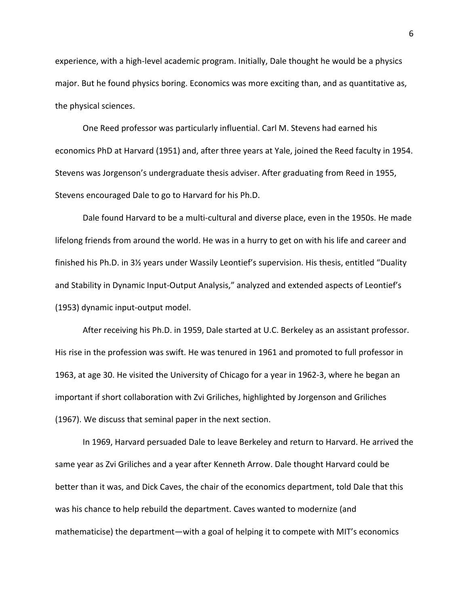experience, with a high-level academic program. Initially, Dale thought he would be a physics major. But he found physics boring. Economics was more exciting than, and as quantitative as, the physical sciences.

One Reed professor was particularly influential. Carl M. Stevens had earned his economics PhD at Harvard (1951) and, after three years at Yale, joined the Reed faculty in 1954. Stevens was Jorgenson's undergraduate thesis adviser. After graduating from Reed in 1955, Stevens encouraged Dale to go to Harvard for his Ph.D.

Dale found Harvard to be a multi-cultural and diverse place, even in the 1950s. He made lifelong friends from around the world. He was in a hurry to get on with his life and career and finished his Ph.D. in 3½ years under Wassily Leontief's supervision. His thesis, entitled "Duality and Stability in Dynamic Input-Output Analysis," analyzed and extended aspects of Leontief's (1953) dynamic input-output model.

After receiving his Ph.D. in 1959, Dale started at U.C. Berkeley as an assistant professor. His rise in the profession was swift. He was tenured in 1961 and promoted to full professor in 1963, at age 30. He visited the University of Chicago for a year in 1962-3, where he began an important if short collaboration with Zvi Griliches, highlighted by Jorgenson and Griliches (1967). We discuss that seminal paper in the next section.

In 1969, Harvard persuaded Dale to leave Berkeley and return to Harvard. He arrived the same year as Zvi Griliches and a year after Kenneth Arrow. Dale thought Harvard could be better than it was, and Dick Caves, the chair of the economics department, told Dale that this was his chance to help rebuild the department. Caves wanted to modernize (and mathematicise) the department—with a goal of helping it to compete with MIT's economics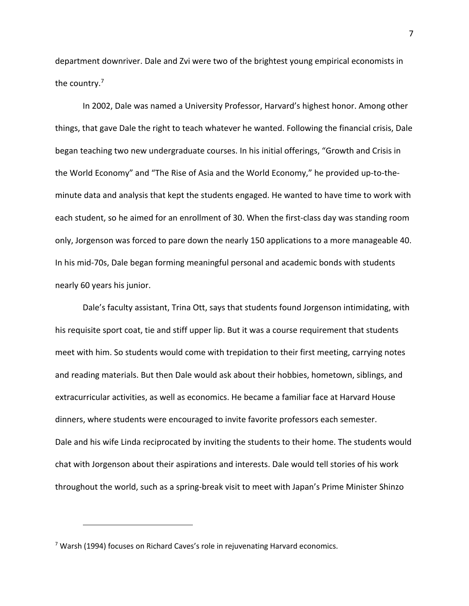department downriver. Dale and Zvi were two of the brightest young empirical economists in the country.7

In 2002, Dale was named a University Professor, Harvard's highest honor. Among other things, that gave Dale the right to teach whatever he wanted. Following the financial crisis, Dale began teaching two new undergraduate courses. In his initial offerings, "Growth and Crisis in the World Economy" and "The Rise of Asia and the World Economy," he provided up-to-theminute data and analysis that kept the students engaged. He wanted to have time to work with each student, so he aimed for an enrollment of 30. When the first-class day was standing room only, Jorgenson was forced to pare down the nearly 150 applications to a more manageable 40. In his mid-70s, Dale began forming meaningful personal and academic bonds with students nearly 60 years his junior.

Dale's faculty assistant, Trina Ott, says that students found Jorgenson intimidating, with his requisite sport coat, tie and stiff upper lip. But it was a course requirement that students meet with him. So students would come with trepidation to their first meeting, carrying notes and reading materials. But then Dale would ask about their hobbies, hometown, siblings, and extracurricular activities, as well as economics. He became a familiar face at Harvard House dinners, where students were encouraged to invite favorite professors each semester. Dale and his wife Linda reciprocated by inviting the students to their home. The students would chat with Jorgenson about their aspirations and interests. Dale would tell stories of his work throughout the world, such as a spring-break visit to meet with Japan's Prime Minister Shinzo

 $7$  Warsh (1994) focuses on Richard Caves's role in rejuvenating Harvard economics.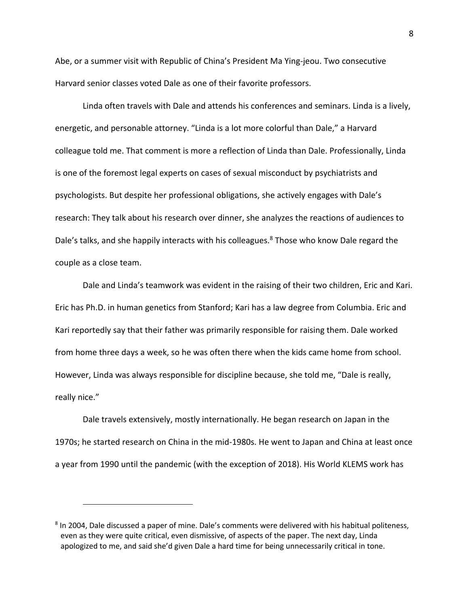Abe, or a summer visit with Republic of China's President Ma Ying-jeou. Two consecutive Harvard senior classes voted Dale as one of their favorite professors.

Linda often travels with Dale and attends his conferences and seminars. Linda is a lively, energetic, and personable attorney. "Linda is a lot more colorful than Dale," a Harvard colleague told me. That comment is more a reflection of Linda than Dale. Professionally, Linda is one of the foremost legal experts on cases of sexual misconduct by psychiatrists and psychologists. But despite her professional obligations, she actively engages with Dale's research: They talk about his research over dinner, she analyzes the reactions of audiences to Dale's talks, and she happily interacts with his colleagues.<sup>8</sup> Those who know Dale regard the couple as a close team.

Dale and Linda's teamwork was evident in the raising of their two children, Eric and Kari. Eric has Ph.D. in human genetics from Stanford; Kari has a law degree from Columbia. Eric and Kari reportedly say that their father was primarily responsible for raising them. Dale worked from home three days a week, so he was often there when the kids came home from school. However, Linda was always responsible for discipline because, she told me, "Dale is really, really nice."

Dale travels extensively, mostly internationally. He began research on Japan in the 1970s; he started research on China in the mid-1980s. He went to Japan and China at least once a year from 1990 until the pandemic (with the exception of 2018). His World KLEMS work has

<sup>8</sup> In 2004, Dale discussed a paper of mine. Dale's comments were delivered with his habitual politeness, even as they were quite critical, even dismissive, of aspects of the paper. The next day, Linda apologized to me, and said she'd given Dale a hard time for being unnecessarily critical in tone.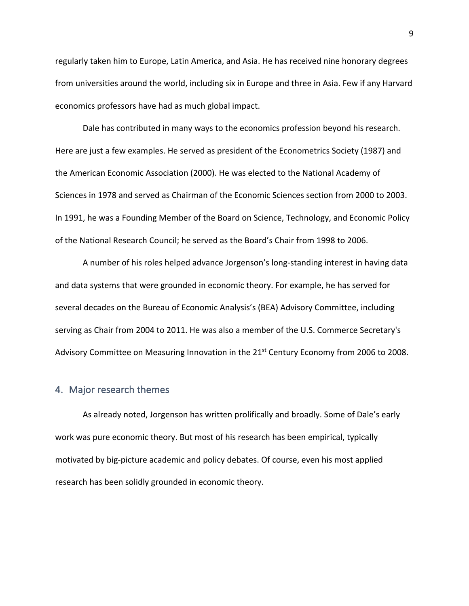regularly taken him to Europe, Latin America, and Asia. He has received nine honorary degrees from universities around the world, including six in Europe and three in Asia. Few if any Harvard economics professors have had as much global impact.

Dale has contributed in many ways to the economics profession beyond his research. Here are just a few examples. He served as president of the Econometrics Society (1987) and the American Economic Association (2000). He was elected to the National Academy of Sciences in 1978 and served as Chairman of the Economic Sciences section from 2000 to 2003. In 1991, he was a Founding Member of the Board on Science, Technology, and Economic Policy of the National Research Council; he served as the Board's Chair from 1998 to 2006.

A number of his roles helped advance Jorgenson's long-standing interest in having data and data systems that were grounded in economic theory. For example, he has served for several decades on the Bureau of Economic Analysis's (BEA) Advisory Committee, including serving as Chair from 2004 to 2011. He was also a member of the U.S. Commerce Secretary's Advisory Committee on Measuring Innovation in the 21<sup>st</sup> Century Economy from 2006 to 2008.

#### 4. Major research themes

As already noted, Jorgenson has written prolifically and broadly. Some of Dale's early work was pure economic theory. But most of his research has been empirical, typically motivated by big-picture academic and policy debates. Of course, even his most applied research has been solidly grounded in economic theory.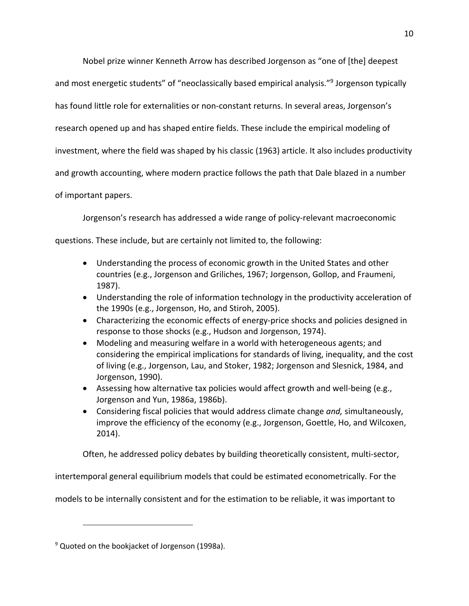Nobel prize winner Kenneth Arrow has described Jorgenson as "one of [the] deepest

and most energetic students" of "neoclassically based empirical analysis."<sup>9</sup> Jorgenson typically

has found little role for externalities or non-constant returns. In several areas, Jorgenson's

research opened up and has shaped entire fields. These include the empirical modeling of

investment, where the field was shaped by his classic (1963) article. It also includes productivity

and growth accounting, where modern practice follows the path that Dale blazed in a number

of important papers.

Jorgenson's research has addressed a wide range of policy-relevant macroeconomic

questions. These include, but are certainly not limited to, the following:

- Understanding the process of economic growth in the United States and other countries (e.g., Jorgenson and Griliches, 1967; Jorgenson, Gollop, and Fraumeni, 1987).
- Understanding the role of information technology in the productivity acceleration of the 1990s (e.g., Jorgenson, Ho, and Stiroh, 2005).
- Characterizing the economic effects of energy-price shocks and policies designed in response to those shocks (e.g., Hudson and Jorgenson, 1974).
- Modeling and measuring welfare in a world with heterogeneous agents; and considering the empirical implications for standards of living, inequality, and the cost of living (e.g., Jorgenson, Lau, and Stoker, 1982; Jorgenson and Slesnick, 1984, and Jorgenson, 1990).
- Assessing how alternative tax policies would affect growth and well-being (e.g., Jorgenson and Yun, 1986a, 1986b).
- Considering fiscal policies that would address climate change *and,* simultaneously, improve the efficiency of the economy (e.g., Jorgenson, Goettle, Ho, and Wilcoxen, 2014).

Often, he addressed policy debates by building theoretically consistent, multi-sector,

intertemporal general equilibrium models that could be estimated econometrically. For the

models to be internally consistent and for the estimation to be reliable, it was important to

 $9$  Quoted on the bookjacket of Jorgenson (1998a).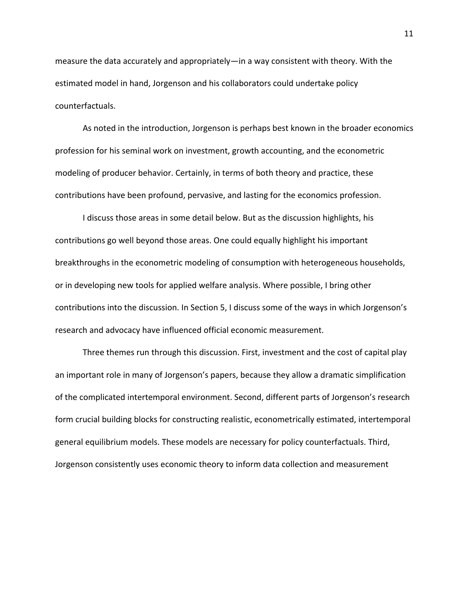measure the data accurately and appropriately—in a way consistent with theory. With the estimated model in hand, Jorgenson and his collaborators could undertake policy counterfactuals.

As noted in the introduction, Jorgenson is perhaps best known in the broader economics profession for his seminal work on investment, growth accounting, and the econometric modeling of producer behavior. Certainly, in terms of both theory and practice, these contributions have been profound, pervasive, and lasting for the economics profession.

I discuss those areas in some detail below. But as the discussion highlights, his contributions go well beyond those areas. One could equally highlight his important breakthroughs in the econometric modeling of consumption with heterogeneous households, or in developing new tools for applied welfare analysis. Where possible, I bring other contributions into the discussion. In Section 5, I discuss some of the ways in which Jorgenson's research and advocacy have influenced official economic measurement.

Three themes run through this discussion. First, investment and the cost of capital play an important role in many of Jorgenson's papers, because they allow a dramatic simplification of the complicated intertemporal environment. Second, different parts of Jorgenson's research form crucial building blocks for constructing realistic, econometrically estimated, intertemporal general equilibrium models. These models are necessary for policy counterfactuals. Third, Jorgenson consistently uses economic theory to inform data collection and measurement

11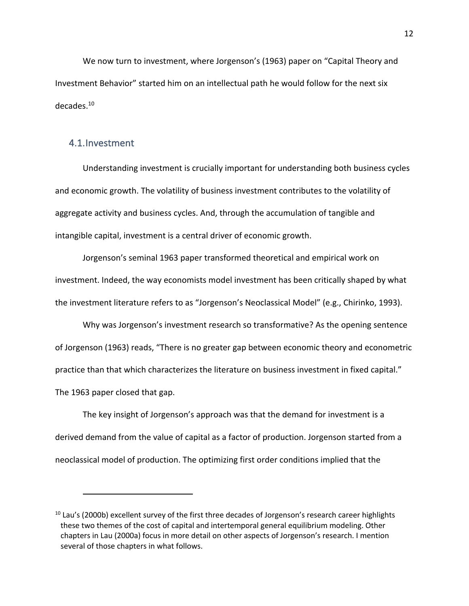We now turn to investment, where Jorgenson's (1963) paper on "Capital Theory and Investment Behavior" started him on an intellectual path he would follow for the next six decades.10

#### 4.1.Investment

Understanding investment is crucially important for understanding both business cycles and economic growth. The volatility of business investment contributes to the volatility of aggregate activity and business cycles. And, through the accumulation of tangible and intangible capital, investment is a central driver of economic growth.

Jorgenson's seminal 1963 paper transformed theoretical and empirical work on investment. Indeed, the way economists model investment has been critically shaped by what the investment literature refers to as "Jorgenson's Neoclassical Model" (e.g., Chirinko, 1993).

Why was Jorgenson's investment research so transformative? As the opening sentence of Jorgenson (1963) reads, "There is no greater gap between economic theory and econometric practice than that which characterizes the literature on business investment in fixed capital." The 1963 paper closed that gap.

The key insight of Jorgenson's approach was that the demand for investment is a derived demand from the value of capital as a factor of production. Jorgenson started from a neoclassical model of production. The optimizing first order conditions implied that the

 $10$  Lau's (2000b) excellent survey of the first three decades of Jorgenson's research career highlights these two themes of the cost of capital and intertemporal general equilibrium modeling. Other chapters in Lau (2000a) focus in more detail on other aspects of Jorgenson's research. I mention several of those chapters in what follows.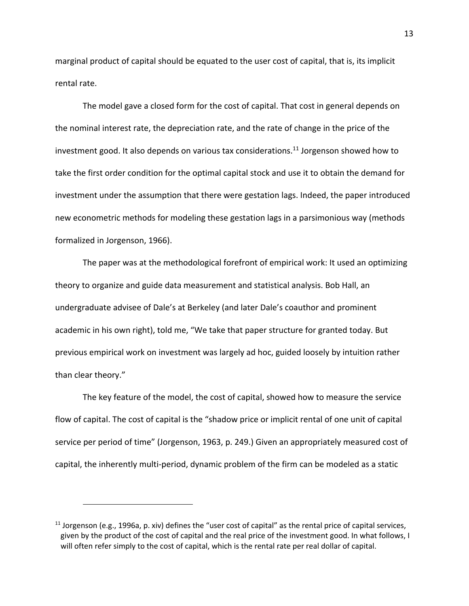marginal product of capital should be equated to the user cost of capital, that is, its implicit rental rate.

The model gave a closed form for the cost of capital. That cost in general depends on the nominal interest rate, the depreciation rate, and the rate of change in the price of the investment good. It also depends on various tax considerations.<sup>11</sup> Jorgenson showed how to take the first order condition for the optimal capital stock and use it to obtain the demand for investment under the assumption that there were gestation lags. Indeed, the paper introduced new econometric methods for modeling these gestation lags in a parsimonious way (methods formalized in Jorgenson, 1966).

The paper was at the methodological forefront of empirical work: It used an optimizing theory to organize and guide data measurement and statistical analysis. Bob Hall, an undergraduate advisee of Dale's at Berkeley (and later Dale's coauthor and prominent academic in his own right), told me, "We take that paper structure for granted today. But previous empirical work on investment was largely ad hoc, guided loosely by intuition rather than clear theory."

The key feature of the model, the cost of capital, showed how to measure the service flow of capital. The cost of capital is the "shadow price or implicit rental of one unit of capital service per period of time" (Jorgenson, 1963, p. 249.) Given an appropriately measured cost of capital, the inherently multi-period, dynamic problem of the firm can be modeled as a static

<sup>&</sup>lt;sup>11</sup> Jorgenson (e.g., 1996a, p. xiv) defines the "user cost of capital" as the rental price of capital services, given by the product of the cost of capital and the real price of the investment good. In what follows, I will often refer simply to the cost of capital, which is the rental rate per real dollar of capital.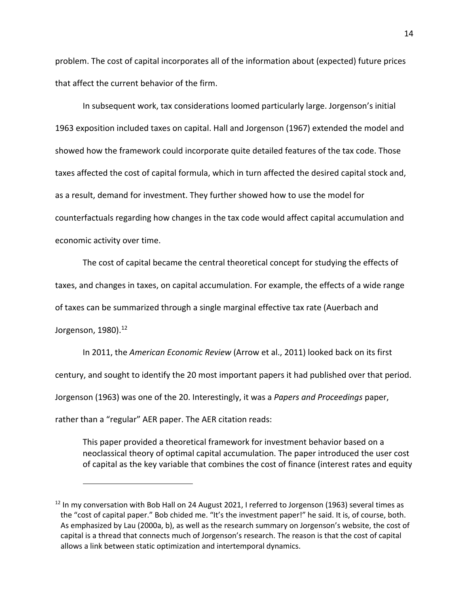problem. The cost of capital incorporates all of the information about (expected) future prices that affect the current behavior of the firm.

In subsequent work, tax considerations loomed particularly large. Jorgenson's initial 1963 exposition included taxes on capital. Hall and Jorgenson (1967) extended the model and showed how the framework could incorporate quite detailed features of the tax code. Those taxes affected the cost of capital formula, which in turn affected the desired capital stock and, as a result, demand for investment. They further showed how to use the model for counterfactuals regarding how changes in the tax code would affect capital accumulation and economic activity over time.

The cost of capital became the central theoretical concept for studying the effects of taxes, and changes in taxes, on capital accumulation. For example, the effects of a wide range of taxes can be summarized through a single marginal effective tax rate (Auerbach and Jorgenson, 1980). 12

In 2011, the *American Economic Review* (Arrow et al., 2011) looked back on its first century, and sought to identify the 20 most important papers it had published over that period. Jorgenson (1963) was one of the 20. Interestingly, it was a *Papers and Proceedings* paper, rather than a "regular" AER paper. The AER citation reads:

This paper provided a theoretical framework for investment behavior based on a neoclassical theory of optimal capital accumulation. The paper introduced the user cost of capital as the key variable that combines the cost of finance (interest rates and equity

<sup>&</sup>lt;sup>12</sup> In my conversation with Bob Hall on 24 August 2021, I referred to Jorgenson (1963) several times as the "cost of capital paper." Bob chided me. "It's the investment paper!" he said. It is, of course, both. As emphasized by Lau (2000a, b), as well as the research summary on Jorgenson's website, the cost of capital is a thread that connects much of Jorgenson's research. The reason is that the cost of capital allows a link between static optimization and intertemporal dynamics.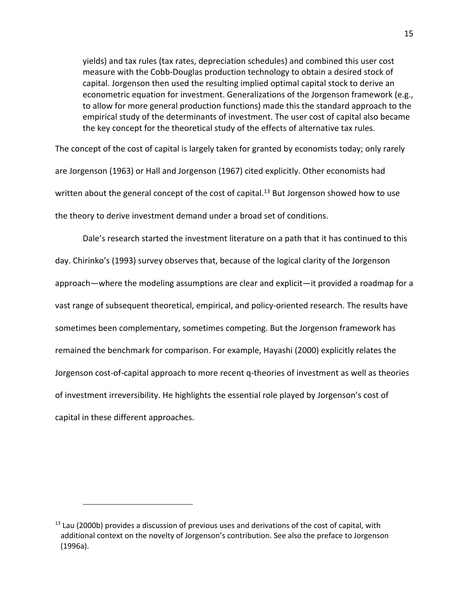yields) and tax rules (tax rates, depreciation schedules) and combined this user cost measure with the Cobb-Douglas production technology to obtain a desired stock of capital. Jorgenson then used the resulting implied optimal capital stock to derive an econometric equation for investment. Generalizations of the Jorgenson framework (e.g., to allow for more general production functions) made this the standard approach to the empirical study of the determinants of investment. The user cost of capital also became the key concept for the theoretical study of the effects of alternative tax rules.

The concept of the cost of capital is largely taken for granted by economists today; only rarely are Jorgenson (1963) or Hall and Jorgenson (1967) cited explicitly. Other economists had written about the general concept of the cost of capital.<sup>13</sup> But Jorgenson showed how to use the theory to derive investment demand under a broad set of conditions.

Dale's research started the investment literature on a path that it has continued to this day. Chirinko's (1993) survey observes that, because of the logical clarity of the Jorgenson approach—where the modeling assumptions are clear and explicit—it provided a roadmap for a vast range of subsequent theoretical, empirical, and policy-oriented research. The results have sometimes been complementary, sometimes competing. But the Jorgenson framework has remained the benchmark for comparison. For example, Hayashi (2000) explicitly relates the Jorgenson cost-of-capital approach to more recent q-theories of investment as well as theories of investment irreversibility. He highlights the essential role played by Jorgenson's cost of capital in these different approaches.

 $13$  Lau (2000b) provides a discussion of previous uses and derivations of the cost of capital, with additional context on the novelty of Jorgenson's contribution. See also the preface to Jorgenson (1996a).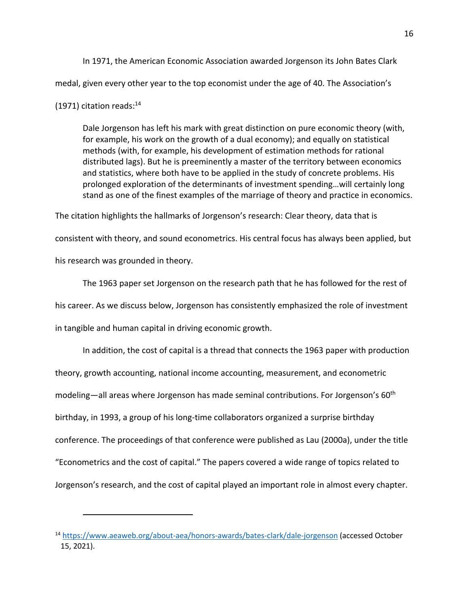In 1971, the American Economic Association awarded Jorgenson its John Bates Clark medal, given every other year to the top economist under the age of 40. The Association's

#### (1971) citation reads: $^{14}$

Dale Jorgenson has left his mark with great distinction on pure economic theory (with, for example, his work on the growth of a dual economy); and equally on statistical methods (with, for example, his development of estimation methods for rational distributed lags). But he is preeminently a master of the territory between economics and statistics, where both have to be applied in the study of concrete problems. His prolonged exploration of the determinants of investment spending…will certainly long stand as one of the finest examples of the marriage of theory and practice in economics.

The citation highlights the hallmarks of Jorgenson's research: Clear theory, data that is consistent with theory, and sound econometrics. His central focus has always been applied, but his research was grounded in theory.

The 1963 paper set Jorgenson on the research path that he has followed for the rest of his career. As we discuss below, Jorgenson has consistently emphasized the role of investment in tangible and human capital in driving economic growth.

In addition, the cost of capital is a thread that connects the 1963 paper with production theory, growth accounting, national income accounting, measurement, and econometric modeling—all areas where Jorgenson has made seminal contributions. For Jorgenson's 60<sup>th</sup> birthday, in 1993, a group of his long-time collaborators organized a surprise birthday conference. The proceedings of that conference were published as Lau (2000a), under the title "Econometrics and the cost of capital." The papers covered a wide range of topics related to Jorgenson's research, and the cost of capital played an important role in almost every chapter.

<sup>14</sup> https://www.aeaweb.org/about-aea/honors-awards/bates-clark/dale-jorgenson (accessed October 15, 2021).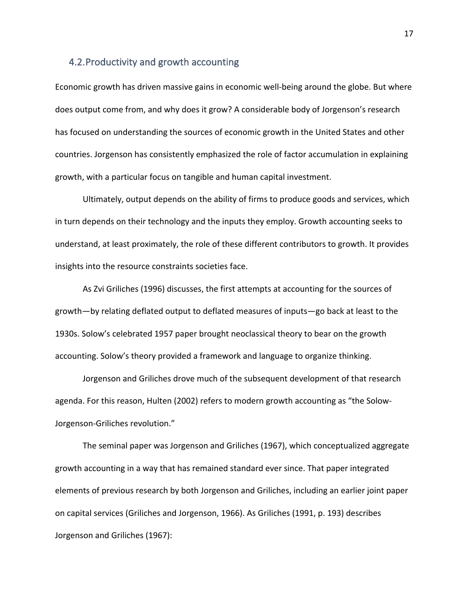#### 4.2.Productivity and growth accounting

Economic growth has driven massive gains in economic well-being around the globe. But where does output come from, and why does it grow? A considerable body of Jorgenson's research has focused on understanding the sources of economic growth in the United States and other countries. Jorgenson has consistently emphasized the role of factor accumulation in explaining growth, with a particular focus on tangible and human capital investment.

Ultimately, output depends on the ability of firms to produce goods and services, which in turn depends on their technology and the inputs they employ. Growth accounting seeks to understand, at least proximately, the role of these different contributors to growth. It provides insights into the resource constraints societies face.

As Zvi Griliches (1996) discusses, the first attempts at accounting for the sources of growth—by relating deflated output to deflated measures of inputs—go back at least to the 1930s. Solow's celebrated 1957 paper brought neoclassical theory to bear on the growth accounting. Solow's theory provided a framework and language to organize thinking.

Jorgenson and Griliches drove much of the subsequent development of that research agenda. For this reason, Hulten (2002) refers to modern growth accounting as "the Solow-Jorgenson-Griliches revolution."

The seminal paper was Jorgenson and Griliches (1967), which conceptualized aggregate growth accounting in a way that has remained standard ever since. That paper integrated elements of previous research by both Jorgenson and Griliches, including an earlier joint paper on capital services (Griliches and Jorgenson, 1966). As Griliches (1991, p. 193) describes Jorgenson and Griliches (1967):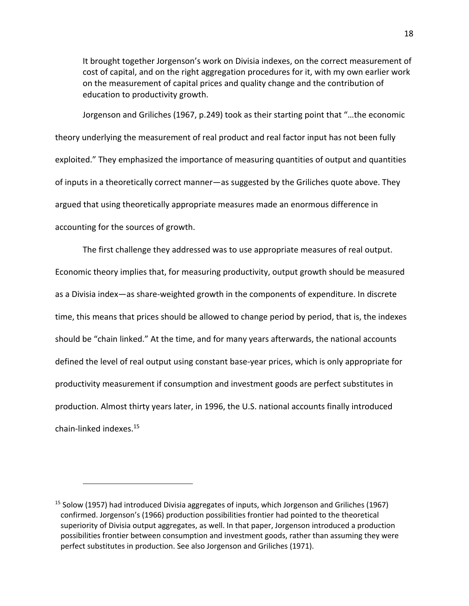It brought together Jorgenson's work on Divisia indexes, on the correct measurement of cost of capital, and on the right aggregation procedures for it, with my own earlier work on the measurement of capital prices and quality change and the contribution of education to productivity growth.

Jorgenson and Griliches (1967, p.249) took as their starting point that "…the economic theory underlying the measurement of real product and real factor input has not been fully exploited." They emphasized the importance of measuring quantities of output and quantities of inputs in a theoretically correct manner—as suggested by the Griliches quote above. They argued that using theoretically appropriate measures made an enormous difference in accounting for the sources of growth.

The first challenge they addressed was to use appropriate measures of real output. Economic theory implies that, for measuring productivity, output growth should be measured as a Divisia index—as share-weighted growth in the components of expenditure. In discrete time, this means that prices should be allowed to change period by period, that is, the indexes should be "chain linked." At the time, and for many years afterwards, the national accounts defined the level of real output using constant base-year prices, which is only appropriate for productivity measurement if consumption and investment goods are perfect substitutes in production. Almost thirty years later, in 1996, the U.S. national accounts finally introduced chain-linked indexes.15

<sup>&</sup>lt;sup>15</sup> Solow (1957) had introduced Divisia aggregates of inputs, which Jorgenson and Griliches (1967) confirmed. Jorgenson's (1966) production possibilities frontier had pointed to the theoretical superiority of Divisia output aggregates, as well. In that paper, Jorgenson introduced a production possibilities frontier between consumption and investment goods, rather than assuming they were perfect substitutes in production. See also Jorgenson and Griliches (1971).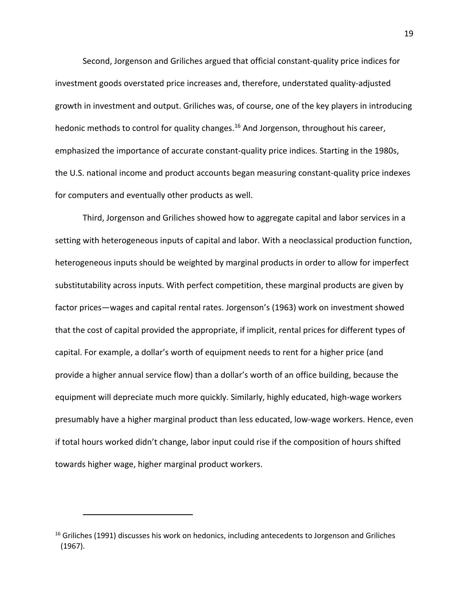Second, Jorgenson and Griliches argued that official constant-quality price indices for investment goods overstated price increases and, therefore, understated quality-adjusted growth in investment and output. Griliches was, of course, one of the key players in introducing hedonic methods to control for quality changes.<sup>16</sup> And Jorgenson, throughout his career, emphasized the importance of accurate constant-quality price indices. Starting in the 1980s, the U.S. national income and product accounts began measuring constant-quality price indexes for computers and eventually other products as well.

Third, Jorgenson and Griliches showed how to aggregate capital and labor services in a setting with heterogeneous inputs of capital and labor. With a neoclassical production function, heterogeneous inputs should be weighted by marginal products in order to allow for imperfect substitutability across inputs. With perfect competition, these marginal products are given by factor prices—wages and capital rental rates. Jorgenson's (1963) work on investment showed that the cost of capital provided the appropriate, if implicit, rental prices for different types of capital. For example, a dollar's worth of equipment needs to rent for a higher price (and provide a higher annual service flow) than a dollar's worth of an office building, because the equipment will depreciate much more quickly. Similarly, highly educated, high-wage workers presumably have a higher marginal product than less educated, low-wage workers. Hence, even if total hours worked didn't change, labor input could rise if the composition of hours shifted towards higher wage, higher marginal product workers.

 $16$  Griliches (1991) discusses his work on hedonics, including antecedents to Jorgenson and Griliches (1967).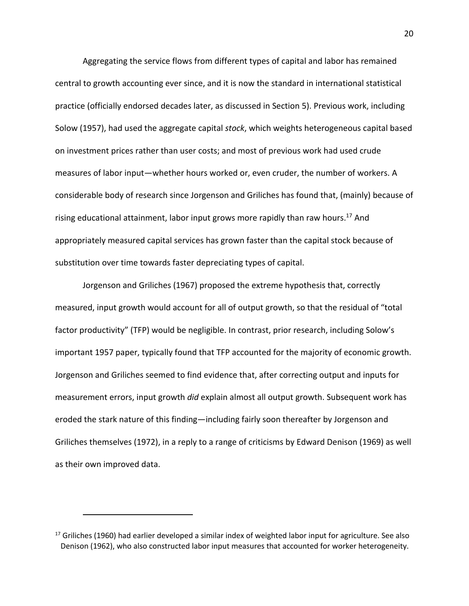Aggregating the service flows from different types of capital and labor has remained central to growth accounting ever since, and it is now the standard in international statistical practice (officially endorsed decades later, as discussed in Section 5). Previous work, including Solow (1957), had used the aggregate capital *stock*, which weights heterogeneous capital based on investment prices rather than user costs; and most of previous work had used crude measures of labor input—whether hours worked or, even cruder, the number of workers. A considerable body of research since Jorgenson and Griliches has found that, (mainly) because of rising educational attainment, labor input grows more rapidly than raw hours.<sup>17</sup> And appropriately measured capital services has grown faster than the capital stock because of substitution over time towards faster depreciating types of capital.

Jorgenson and Griliches (1967) proposed the extreme hypothesis that, correctly measured, input growth would account for all of output growth, so that the residual of "total factor productivity" (TFP) would be negligible. In contrast, prior research, including Solow's important 1957 paper, typically found that TFP accounted for the majority of economic growth. Jorgenson and Griliches seemed to find evidence that, after correcting output and inputs for measurement errors, input growth *did* explain almost all output growth. Subsequent work has eroded the stark nature of this finding—including fairly soon thereafter by Jorgenson and Griliches themselves (1972), in a reply to a range of criticisms by Edward Denison (1969) as well as their own improved data.

 $17$  Griliches (1960) had earlier developed a similar index of weighted labor input for agriculture. See also Denison (1962), who also constructed labor input measures that accounted for worker heterogeneity.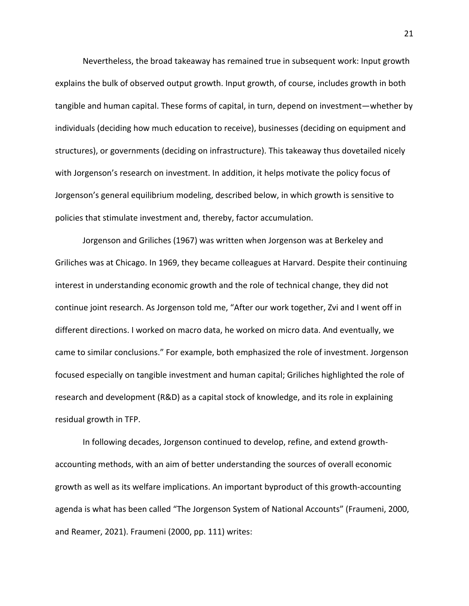Nevertheless, the broad takeaway has remained true in subsequent work: Input growth explains the bulk of observed output growth. Input growth, of course, includes growth in both tangible and human capital. These forms of capital, in turn, depend on investment—whether by individuals (deciding how much education to receive), businesses (deciding on equipment and structures), or governments (deciding on infrastructure). This takeaway thus dovetailed nicely with Jorgenson's research on investment. In addition, it helps motivate the policy focus of Jorgenson's general equilibrium modeling, described below, in which growth is sensitive to policies that stimulate investment and, thereby, factor accumulation.

Jorgenson and Griliches (1967) was written when Jorgenson was at Berkeley and Griliches was at Chicago. In 1969, they became colleagues at Harvard. Despite their continuing interest in understanding economic growth and the role of technical change, they did not continue joint research. As Jorgenson told me, "After our work together, Zvi and I went off in different directions. I worked on macro data, he worked on micro data. And eventually, we came to similar conclusions." For example, both emphasized the role of investment. Jorgenson focused especially on tangible investment and human capital; Griliches highlighted the role of research and development (R&D) as a capital stock of knowledge, and its role in explaining residual growth in TFP.

In following decades, Jorgenson continued to develop, refine, and extend growthaccounting methods, with an aim of better understanding the sources of overall economic growth as well as its welfare implications. An important byproduct of this growth-accounting agenda is what has been called "The Jorgenson System of National Accounts" (Fraumeni, 2000, and Reamer, 2021). Fraumeni (2000, pp. 111) writes: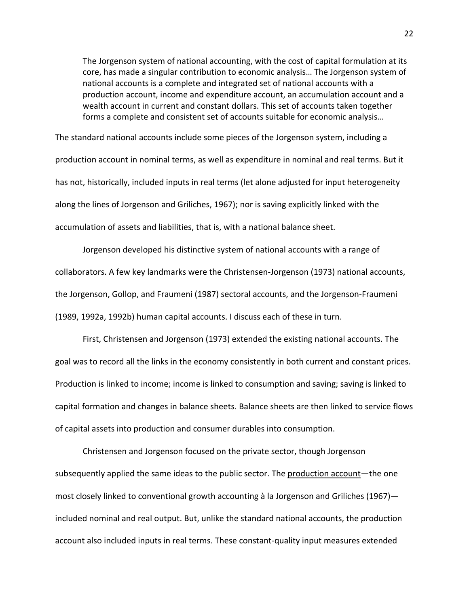The Jorgenson system of national accounting, with the cost of capital formulation at its core, has made a singular contribution to economic analysis… The Jorgenson system of national accounts is a complete and integrated set of national accounts with a production account, income and expenditure account, an accumulation account and a wealth account in current and constant dollars. This set of accounts taken together forms a complete and consistent set of accounts suitable for economic analysis…

The standard national accounts include some pieces of the Jorgenson system, including a production account in nominal terms, as well as expenditure in nominal and real terms. But it has not, historically, included inputs in real terms (let alone adjusted for input heterogeneity along the lines of Jorgenson and Griliches, 1967); nor is saving explicitly linked with the accumulation of assets and liabilities, that is, with a national balance sheet.

Jorgenson developed his distinctive system of national accounts with a range of collaborators. A few key landmarks were the Christensen-Jorgenson (1973) national accounts, the Jorgenson, Gollop, and Fraumeni (1987) sectoral accounts, and the Jorgenson-Fraumeni (1989, 1992a, 1992b) human capital accounts. I discuss each of these in turn.

First, Christensen and Jorgenson (1973) extended the existing national accounts. The goal was to record all the links in the economy consistently in both current and constant prices. Production is linked to income; income is linked to consumption and saving; saving is linked to capital formation and changes in balance sheets. Balance sheets are then linked to service flows of capital assets into production and consumer durables into consumption.

Christensen and Jorgenson focused on the private sector, though Jorgenson subsequently applied the same ideas to the public sector. The production account—the one most closely linked to conventional growth accounting à la Jorgenson and Griliches (1967) included nominal and real output. But, unlike the standard national accounts, the production account also included inputs in real terms. These constant-quality input measures extended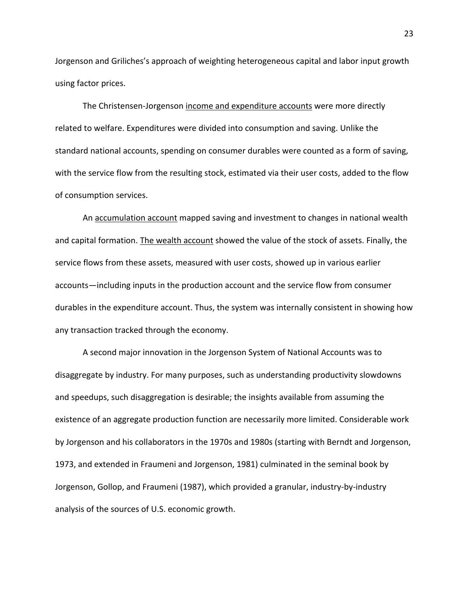Jorgenson and Griliches's approach of weighting heterogeneous capital and labor input growth using factor prices.

The Christensen-Jorgenson income and expenditure accounts were more directly related to welfare. Expenditures were divided into consumption and saving. Unlike the standard national accounts, spending on consumer durables were counted as a form of saving, with the service flow from the resulting stock, estimated via their user costs, added to the flow of consumption services.

An accumulation account mapped saving and investment to changes in national wealth and capital formation. The wealth account showed the value of the stock of assets. Finally, the service flows from these assets, measured with user costs, showed up in various earlier accounts—including inputs in the production account and the service flow from consumer durables in the expenditure account. Thus, the system was internally consistent in showing how any transaction tracked through the economy.

A second major innovation in the Jorgenson System of National Accounts was to disaggregate by industry. For many purposes, such as understanding productivity slowdowns and speedups, such disaggregation is desirable; the insights available from assuming the existence of an aggregate production function are necessarily more limited. Considerable work by Jorgenson and his collaborators in the 1970s and 1980s (starting with Berndt and Jorgenson, 1973, and extended in Fraumeni and Jorgenson, 1981) culminated in the seminal book by Jorgenson, Gollop, and Fraumeni (1987), which provided a granular, industry-by-industry analysis of the sources of U.S. economic growth.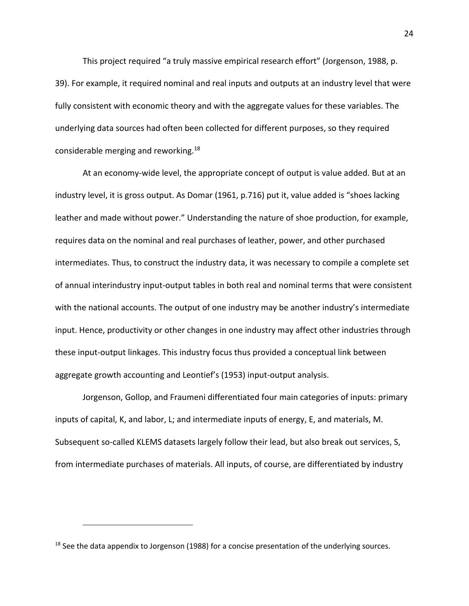This project required "a truly massive empirical research effort" (Jorgenson, 1988, p. 39). For example, it required nominal and real inputs and outputs at an industry level that were fully consistent with economic theory and with the aggregate values for these variables. The underlying data sources had often been collected for different purposes, so they required considerable merging and reworking.<sup>18</sup>

At an economy-wide level, the appropriate concept of output is value added. But at an industry level, it is gross output. As Domar (1961, p.716) put it, value added is "shoes lacking leather and made without power." Understanding the nature of shoe production, for example, requires data on the nominal and real purchases of leather, power, and other purchased intermediates. Thus, to construct the industry data, it was necessary to compile a complete set of annual interindustry input-output tables in both real and nominal terms that were consistent with the national accounts. The output of one industry may be another industry's intermediate input. Hence, productivity or other changes in one industry may affect other industries through these input-output linkages. This industry focus thus provided a conceptual link between aggregate growth accounting and Leontief's (1953) input-output analysis.

Jorgenson, Gollop, and Fraumeni differentiated four main categories of inputs: primary inputs of capital, K, and labor, L; and intermediate inputs of energy, E, and materials, M. Subsequent so-called KLEMS datasets largely follow their lead, but also break out services, S, from intermediate purchases of materials. All inputs, of course, are differentiated by industry

 $18$  See the data appendix to Jorgenson (1988) for a concise presentation of the underlying sources.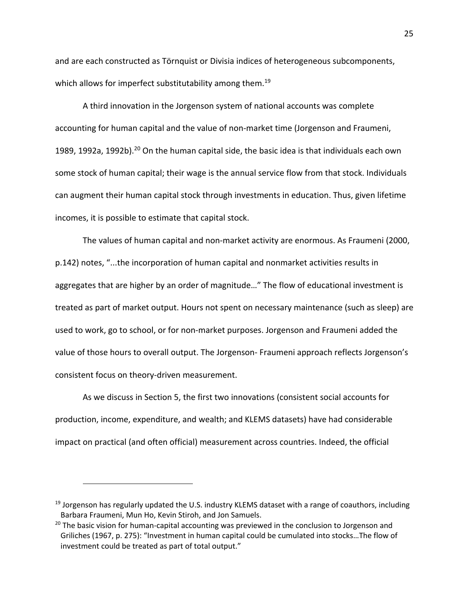and are each constructed as Törnquist or Divisia indices of heterogeneous subcomponents, which allows for imperfect substitutability among them.<sup>19</sup>

A third innovation in the Jorgenson system of national accounts was complete accounting for human capital and the value of non-market time (Jorgenson and Fraumeni, 1989, 1992a, 1992b).<sup>20</sup> On the human capital side, the basic idea is that individuals each own some stock of human capital; their wage is the annual service flow from that stock. Individuals can augment their human capital stock through investments in education. Thus, given lifetime incomes, it is possible to estimate that capital stock.

The values of human capital and non-market activity are enormous. As Fraumeni (2000, p.142) notes, "...the incorporation of human capital and nonmarket activities results in aggregates that are higher by an order of magnitude…" The flow of educational investment is treated as part of market output. Hours not spent on necessary maintenance (such as sleep) are used to work, go to school, or for non-market purposes. Jorgenson and Fraumeni added the value of those hours to overall output. The Jorgenson- Fraumeni approach reflects Jorgenson's consistent focus on theory-driven measurement.

As we discuss in Section 5, the first two innovations (consistent social accounts for production, income, expenditure, and wealth; and KLEMS datasets) have had considerable impact on practical (and often official) measurement across countries. Indeed, the official

<sup>&</sup>lt;sup>19</sup> Jorgenson has regularly updated the U.S. industry KLEMS dataset with a range of coauthors, including Barbara Fraumeni, Mun Ho, Kevin Stiroh, and Jon Samuels.

 $20$  The basic vision for human-capital accounting was previewed in the conclusion to Jorgenson and Griliches (1967, p. 275): "Investment in human capital could be cumulated into stocks…The flow of investment could be treated as part of total output."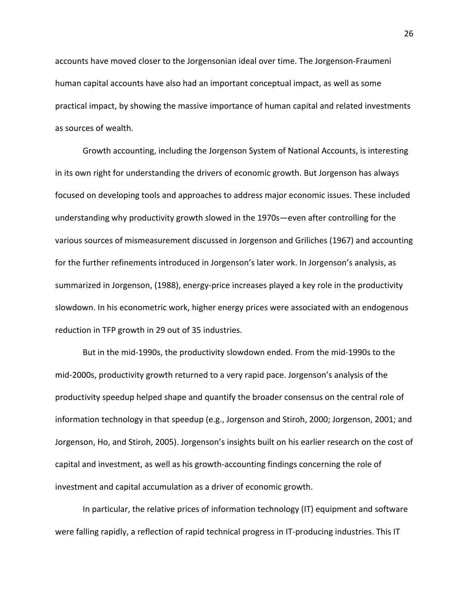accounts have moved closer to the Jorgensonian ideal over time. The Jorgenson-Fraumeni human capital accounts have also had an important conceptual impact, as well as some practical impact, by showing the massive importance of human capital and related investments as sources of wealth.

Growth accounting, including the Jorgenson System of National Accounts, is interesting in its own right for understanding the drivers of economic growth. But Jorgenson has always focused on developing tools and approaches to address major economic issues. These included understanding why productivity growth slowed in the 1970s—even after controlling for the various sources of mismeasurement discussed in Jorgenson and Griliches (1967) and accounting for the further refinements introduced in Jorgenson's later work. In Jorgenson's analysis, as summarized in Jorgenson, (1988), energy-price increases played a key role in the productivity slowdown. In his econometric work, higher energy prices were associated with an endogenous reduction in TFP growth in 29 out of 35 industries.

But in the mid-1990s, the productivity slowdown ended. From the mid-1990s to the mid-2000s, productivity growth returned to a very rapid pace. Jorgenson's analysis of the productivity speedup helped shape and quantify the broader consensus on the central role of information technology in that speedup (e.g., Jorgenson and Stiroh, 2000; Jorgenson, 2001; and Jorgenson, Ho, and Stiroh, 2005). Jorgenson's insights built on his earlier research on the cost of capital and investment, as well as his growth-accounting findings concerning the role of investment and capital accumulation as a driver of economic growth.

In particular, the relative prices of information technology (IT) equipment and software were falling rapidly, a reflection of rapid technical progress in IT-producing industries. This IT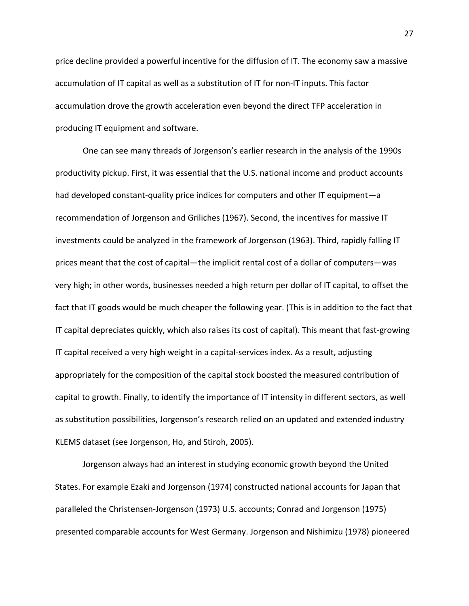price decline provided a powerful incentive for the diffusion of IT. The economy saw a massive accumulation of IT capital as well as a substitution of IT for non-IT inputs. This factor accumulation drove the growth acceleration even beyond the direct TFP acceleration in producing IT equipment and software.

One can see many threads of Jorgenson's earlier research in the analysis of the 1990s productivity pickup. First, it was essential that the U.S. national income and product accounts had developed constant-quality price indices for computers and other IT equipment—a recommendation of Jorgenson and Griliches (1967). Second, the incentives for massive IT investments could be analyzed in the framework of Jorgenson (1963). Third, rapidly falling IT prices meant that the cost of capital—the implicit rental cost of a dollar of computers—was very high; in other words, businesses needed a high return per dollar of IT capital, to offset the fact that IT goods would be much cheaper the following year. (This is in addition to the fact that IT capital depreciates quickly, which also raises its cost of capital). This meant that fast-growing IT capital received a very high weight in a capital-services index. As a result, adjusting appropriately for the composition of the capital stock boosted the measured contribution of capital to growth. Finally, to identify the importance of IT intensity in different sectors, as well as substitution possibilities, Jorgenson's research relied on an updated and extended industry KLEMS dataset (see Jorgenson, Ho, and Stiroh, 2005).

Jorgenson always had an interest in studying economic growth beyond the United States. For example Ezaki and Jorgenson (1974) constructed national accounts for Japan that paralleled the Christensen-Jorgenson (1973) U.S. accounts; Conrad and Jorgenson (1975) presented comparable accounts for West Germany. Jorgenson and Nishimizu (1978) pioneered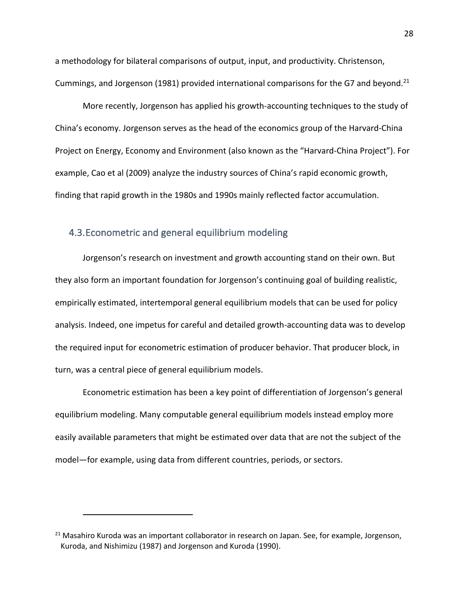a methodology for bilateral comparisons of output, input, and productivity. Christenson, Cummings, and Jorgenson (1981) provided international comparisons for the G7 and beyond.<sup>21</sup>

More recently, Jorgenson has applied his growth-accounting techniques to the study of China's economy. Jorgenson serves as the head of the economics group of the Harvard-China Project on Energy, Economy and Environment (also known as the "Harvard-China Project"). For example, Cao et al (2009) analyze the industry sources of China's rapid economic growth, finding that rapid growth in the 1980s and 1990s mainly reflected factor accumulation.

### 4.3.Econometric and general equilibrium modeling

Jorgenson's research on investment and growth accounting stand on their own. But they also form an important foundation for Jorgenson's continuing goal of building realistic, empirically estimated, intertemporal general equilibrium models that can be used for policy analysis. Indeed, one impetus for careful and detailed growth-accounting data was to develop the required input for econometric estimation of producer behavior. That producer block, in turn, was a central piece of general equilibrium models.

Econometric estimation has been a key point of differentiation of Jorgenson's general equilibrium modeling. Many computable general equilibrium models instead employ more easily available parameters that might be estimated over data that are not the subject of the model—for example, using data from different countries, periods, or sectors.

 $21$  Masahiro Kuroda was an important collaborator in research on Japan. See, for example, Jorgenson, Kuroda, and Nishimizu (1987) and Jorgenson and Kuroda (1990).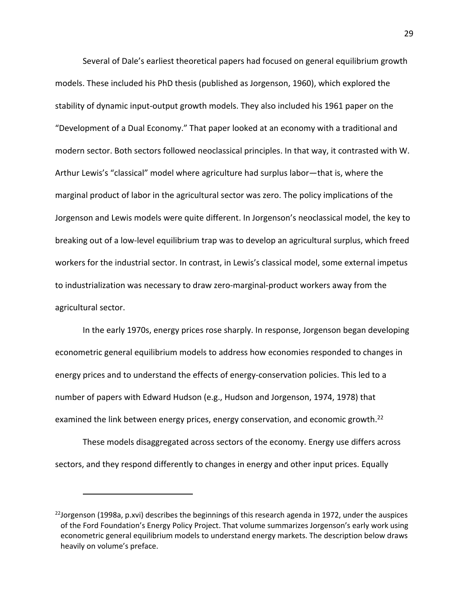Several of Dale's earliest theoretical papers had focused on general equilibrium growth models. These included his PhD thesis (published as Jorgenson, 1960), which explored the stability of dynamic input-output growth models. They also included his 1961 paper on the "Development of a Dual Economy." That paper looked at an economy with a traditional and modern sector. Both sectors followed neoclassical principles. In that way, it contrasted with W. Arthur Lewis's "classical" model where agriculture had surplus labor—that is, where the marginal product of labor in the agricultural sector was zero. The policy implications of the Jorgenson and Lewis models were quite different. In Jorgenson's neoclassical model, the key to breaking out of a low-level equilibrium trap was to develop an agricultural surplus, which freed workers for the industrial sector. In contrast, in Lewis's classical model, some external impetus to industrialization was necessary to draw zero-marginal-product workers away from the agricultural sector.

In the early 1970s, energy prices rose sharply. In response, Jorgenson began developing econometric general equilibrium models to address how economies responded to changes in energy prices and to understand the effects of energy-conservation policies. This led to a number of papers with Edward Hudson (e.g., Hudson and Jorgenson, 1974, 1978) that examined the link between energy prices, energy conservation, and economic growth.<sup>22</sup>

These models disaggregated across sectors of the economy. Energy use differs across sectors, and they respond differently to changes in energy and other input prices. Equally

<sup>&</sup>lt;sup>22</sup>Jorgenson (1998a, p.xvi) describes the beginnings of this research agenda in 1972, under the auspices of the Ford Foundation's Energy Policy Project. That volume summarizes Jorgenson's early work using econometric general equilibrium models to understand energy markets. The description below draws heavily on volume's preface.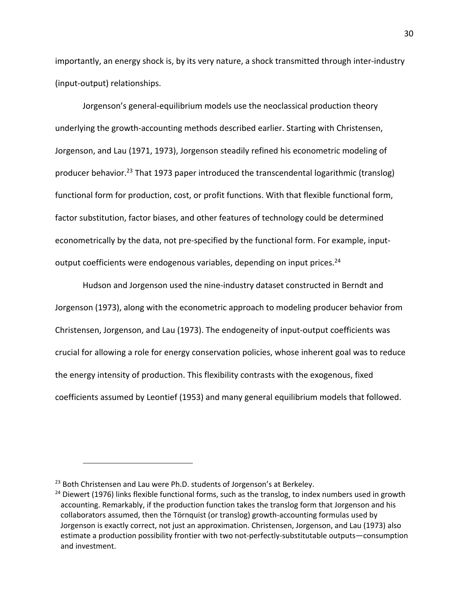importantly, an energy shock is, by its very nature, a shock transmitted through inter-industry (input-output) relationships.

Jorgenson's general-equilibrium models use the neoclassical production theory underlying the growth-accounting methods described earlier. Starting with Christensen, Jorgenson, and Lau (1971, 1973), Jorgenson steadily refined his econometric modeling of producer behavior.<sup>23</sup> That 1973 paper introduced the transcendental logarithmic (translog) functional form for production, cost, or profit functions. With that flexible functional form, factor substitution, factor biases, and other features of technology could be determined econometrically by the data, not pre-specified by the functional form. For example, inputoutput coefficients were endogenous variables, depending on input prices.<sup>24</sup>

Hudson and Jorgenson used the nine-industry dataset constructed in Berndt and Jorgenson (1973), along with the econometric approach to modeling producer behavior from Christensen, Jorgenson, and Lau (1973). The endogeneity of input-output coefficients was crucial for allowing a role for energy conservation policies, whose inherent goal was to reduce the energy intensity of production. This flexibility contrasts with the exogenous, fixed coefficients assumed by Leontief (1953) and many general equilibrium models that followed.

<sup>&</sup>lt;sup>23</sup> Both Christensen and Lau were Ph.D. students of Jorgenson's at Berkeley.

<sup>&</sup>lt;sup>24</sup> Diewert (1976) links flexible functional forms, such as the translog, to index numbers used in growth accounting. Remarkably, if the production function takes the translog form that Jorgenson and his collaborators assumed, then the Törnquist (or translog) growth-accounting formulas used by Jorgenson is exactly correct, not just an approximation. Christensen, Jorgenson, and Lau (1973) also estimate a production possibility frontier with two not-perfectly-substitutable outputs—consumption and investment.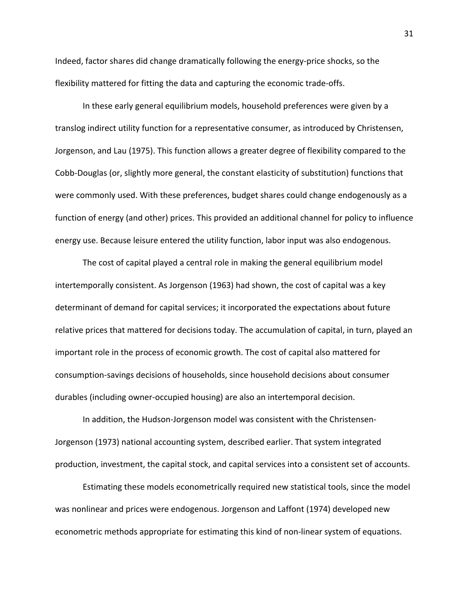Indeed, factor shares did change dramatically following the energy-price shocks, so the flexibility mattered for fitting the data and capturing the economic trade-offs.

In these early general equilibrium models, household preferences were given by a translog indirect utility function for a representative consumer, as introduced by Christensen, Jorgenson, and Lau (1975). This function allows a greater degree of flexibility compared to the Cobb-Douglas (or, slightly more general, the constant elasticity of substitution) functions that were commonly used. With these preferences, budget shares could change endogenously as a function of energy (and other) prices. This provided an additional channel for policy to influence energy use. Because leisure entered the utility function, labor input was also endogenous.

The cost of capital played a central role in making the general equilibrium model intertemporally consistent. As Jorgenson (1963) had shown, the cost of capital was a key determinant of demand for capital services; it incorporated the expectations about future relative prices that mattered for decisions today. The accumulation of capital, in turn, played an important role in the process of economic growth. The cost of capital also mattered for consumption-savings decisions of households, since household decisions about consumer durables (including owner-occupied housing) are also an intertemporal decision.

In addition, the Hudson-Jorgenson model was consistent with the Christensen-Jorgenson (1973) national accounting system, described earlier. That system integrated production, investment, the capital stock, and capital services into a consistent set of accounts.

Estimating these models econometrically required new statistical tools, since the model was nonlinear and prices were endogenous. Jorgenson and Laffont (1974) developed new econometric methods appropriate for estimating this kind of non-linear system of equations.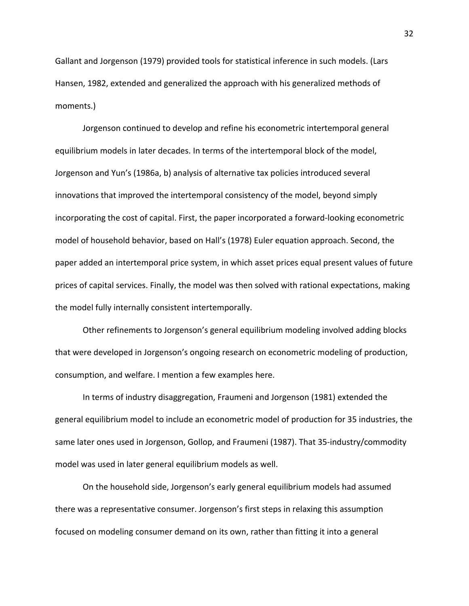Gallant and Jorgenson (1979) provided tools for statistical inference in such models. (Lars Hansen, 1982, extended and generalized the approach with his generalized methods of moments.)

Jorgenson continued to develop and refine his econometric intertemporal general equilibrium models in later decades. In terms of the intertemporal block of the model, Jorgenson and Yun's (1986a, b) analysis of alternative tax policies introduced several innovations that improved the intertemporal consistency of the model, beyond simply incorporating the cost of capital. First, the paper incorporated a forward-looking econometric model of household behavior, based on Hall's (1978) Euler equation approach. Second, the paper added an intertemporal price system, in which asset prices equal present values of future prices of capital services. Finally, the model was then solved with rational expectations, making the model fully internally consistent intertemporally.

Other refinements to Jorgenson's general equilibrium modeling involved adding blocks that were developed in Jorgenson's ongoing research on econometric modeling of production, consumption, and welfare. I mention a few examples here.

In terms of industry disaggregation, Fraumeni and Jorgenson (1981) extended the general equilibrium model to include an econometric model of production for 35 industries, the same later ones used in Jorgenson, Gollop, and Fraumeni (1987). That 35-industry/commodity model was used in later general equilibrium models as well.

On the household side, Jorgenson's early general equilibrium models had assumed there was a representative consumer. Jorgenson's first steps in relaxing this assumption focused on modeling consumer demand on its own, rather than fitting it into a general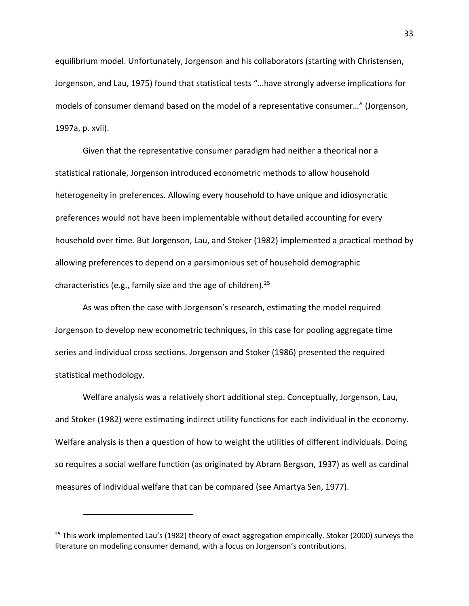equilibrium model. Unfortunately, Jorgenson and his collaborators (starting with Christensen, Jorgenson, and Lau, 1975) found that statistical tests "…have strongly adverse implications for models of consumer demand based on the model of a representative consumer…" (Jorgenson, 1997a, p. xvii).

Given that the representative consumer paradigm had neither a theorical nor a statistical rationale, Jorgenson introduced econometric methods to allow household heterogeneity in preferences. Allowing every household to have unique and idiosyncratic preferences would not have been implementable without detailed accounting for every household over time. But Jorgenson, Lau, and Stoker (1982) implemented a practical method by allowing preferences to depend on a parsimonious set of household demographic characteristics (e.g., family size and the age of children).<sup>25</sup>

As was often the case with Jorgenson's research, estimating the model required Jorgenson to develop new econometric techniques, in this case for pooling aggregate time series and individual cross sections. Jorgenson and Stoker (1986) presented the required statistical methodology.

Welfare analysis was a relatively short additional step. Conceptually, Jorgenson, Lau, and Stoker (1982) were estimating indirect utility functions for each individual in the economy. Welfare analysis is then a question of how to weight the utilities of different individuals. Doing so requires a social welfare function (as originated by Abram Bergson, 1937) as well as cardinal measures of individual welfare that can be compared (see Amartya Sen, 1977).

 $25$  This work implemented Lau's (1982) theory of exact aggregation empirically. Stoker (2000) surveys the literature on modeling consumer demand, with a focus on Jorgenson's contributions.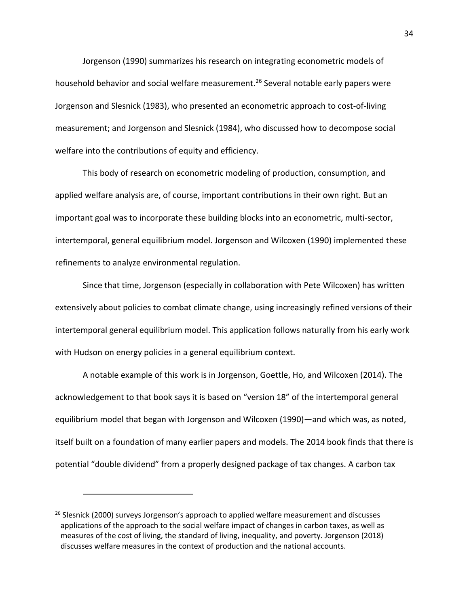Jorgenson (1990) summarizes his research on integrating econometric models of household behavior and social welfare measurement.<sup>26</sup> Several notable early papers were Jorgenson and Slesnick (1983), who presented an econometric approach to cost-of-living measurement; and Jorgenson and Slesnick (1984), who discussed how to decompose social welfare into the contributions of equity and efficiency.

This body of research on econometric modeling of production, consumption, and applied welfare analysis are, of course, important contributions in their own right. But an important goal was to incorporate these building blocks into an econometric, multi-sector, intertemporal, general equilibrium model. Jorgenson and Wilcoxen (1990) implemented these refinements to analyze environmental regulation.

Since that time, Jorgenson (especially in collaboration with Pete Wilcoxen) has written extensively about policies to combat climate change, using increasingly refined versions of their intertemporal general equilibrium model. This application follows naturally from his early work with Hudson on energy policies in a general equilibrium context.

A notable example of this work is in Jorgenson, Goettle, Ho, and Wilcoxen (2014). The acknowledgement to that book says it is based on "version 18" of the intertemporal general equilibrium model that began with Jorgenson and Wilcoxen (1990)—and which was, as noted, itself built on a foundation of many earlier papers and models. The 2014 book finds that there is potential "double dividend" from a properly designed package of tax changes. A carbon tax

 $26$  Slesnick (2000) surveys Jorgenson's approach to applied welfare measurement and discusses applications of the approach to the social welfare impact of changes in carbon taxes, as well as measures of the cost of living, the standard of living, inequality, and poverty. Jorgenson (2018) discusses welfare measures in the context of production and the national accounts.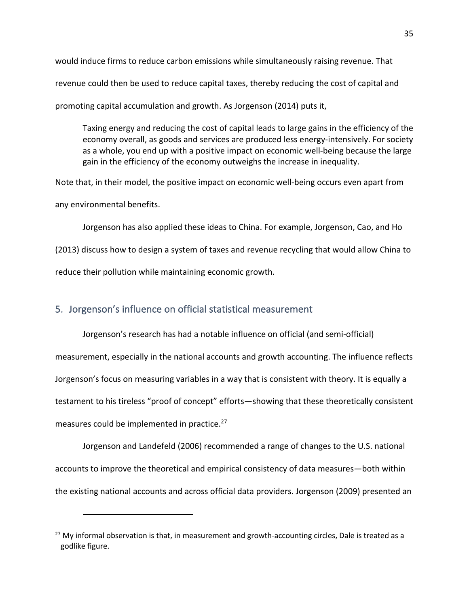would induce firms to reduce carbon emissions while simultaneously raising revenue. That revenue could then be used to reduce capital taxes, thereby reducing the cost of capital and promoting capital accumulation and growth. As Jorgenson (2014) puts it,

Taxing energy and reducing the cost of capital leads to large gains in the efficiency of the economy overall, as goods and services are produced less energy-intensively. For society as a whole, you end up with a positive impact on economic well-being because the large gain in the efficiency of the economy outweighs the increase in inequality.

Note that, in their model, the positive impact on economic well-being occurs even apart from any environmental benefits.

Jorgenson has also applied these ideas to China. For example, Jorgenson, Cao, and Ho (2013) discuss how to design a system of taxes and revenue recycling that would allow China to reduce their pollution while maintaining economic growth.

### 5. Jorgenson's influence on official statistical measurement

Jorgenson's research has had a notable influence on official (and semi-official) measurement, especially in the national accounts and growth accounting. The influence reflects Jorgenson's focus on measuring variables in a way that is consistent with theory. It is equally a testament to his tireless "proof of concept" efforts—showing that these theoretically consistent measures could be implemented in practice.<sup>27</sup>

Jorgenson and Landefeld (2006) recommended a range of changes to the U.S. national accounts to improve the theoretical and empirical consistency of data measures—both within the existing national accounts and across official data providers. Jorgenson (2009) presented an

 $27$  My informal observation is that, in measurement and growth-accounting circles, Dale is treated as a godlike figure.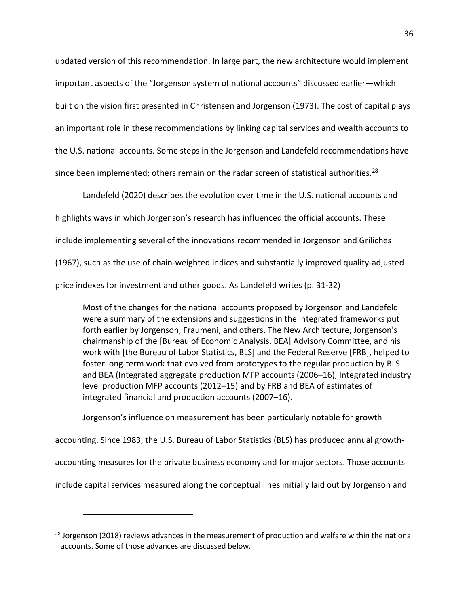updated version of this recommendation. In large part, the new architecture would implement important aspects of the "Jorgenson system of national accounts" discussed earlier—which built on the vision first presented in Christensen and Jorgenson (1973). The cost of capital plays an important role in these recommendations by linking capital services and wealth accounts to the U.S. national accounts. Some steps in the Jorgenson and Landefeld recommendations have since been implemented; others remain on the radar screen of statistical authorities.<sup>28</sup>

Landefeld (2020) describes the evolution over time in the U.S. national accounts and highlights ways in which Jorgenson's research has influenced the official accounts. These include implementing several of the innovations recommended in Jorgenson and Griliches (1967), such as the use of chain-weighted indices and substantially improved quality-adjusted price indexes for investment and other goods. As Landefeld writes (p. 31-32)

Most of the changes for the national accounts proposed by Jorgenson and Landefeld were a summary of the extensions and suggestions in the integrated frameworks put forth earlier by Jorgenson, Fraumeni, and others. The New Architecture, Jorgenson's chairmanship of the [Bureau of Economic Analysis, BEA] Advisory Committee, and his work with [the Bureau of Labor Statistics, BLS] and the Federal Reserve [FRB], helped to foster long-term work that evolved from prototypes to the regular production by BLS and BEA (Integrated aggregate production MFP accounts (2006–16), Integrated industry level production MFP accounts (2012–15) and by FRB and BEA of estimates of integrated financial and production accounts (2007–16).

Jorgenson's influence on measurement has been particularly notable for growth accounting. Since 1983, the U.S. Bureau of Labor Statistics (BLS) has produced annual growthaccounting measures for the private business economy and for major sectors. Those accounts include capital services measured along the conceptual lines initially laid out by Jorgenson and

<sup>&</sup>lt;sup>28</sup> Jorgenson (2018) reviews advances in the measurement of production and welfare within the national accounts. Some of those advances are discussed below.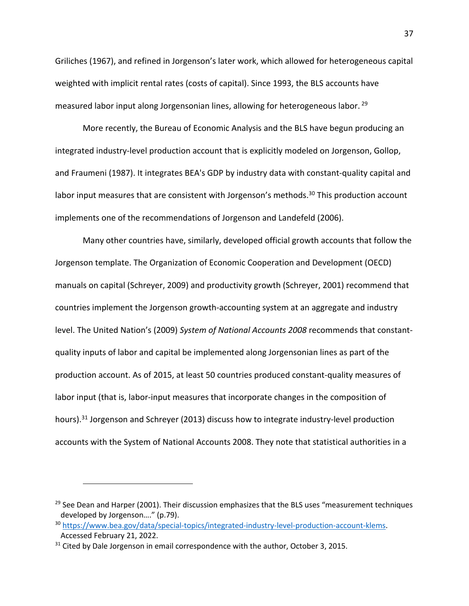Griliches (1967), and refined in Jorgenson's later work, which allowed for heterogeneous capital weighted with implicit rental rates (costs of capital). Since 1993, the BLS accounts have measured labor input along Jorgensonian lines, allowing for heterogeneous labor. 29

More recently, the Bureau of Economic Analysis and the BLS have begun producing an integrated industry-level production account that is explicitly modeled on Jorgenson, Gollop, and Fraumeni (1987). It integrates BEA's GDP by industry data with constant-quality capital and labor input measures that are consistent with Jorgenson's methods.<sup>30</sup> This production account implements one of the recommendations of Jorgenson and Landefeld (2006).

Many other countries have, similarly, developed official growth accounts that follow the Jorgenson template. The Organization of Economic Cooperation and Development (OECD) manuals on capital (Schreyer, 2009) and productivity growth (Schreyer, 2001) recommend that countries implement the Jorgenson growth-accounting system at an aggregate and industry level. The United Nation's (2009) *System of National Accounts 2008* recommends that constantquality inputs of labor and capital be implemented along Jorgensonian lines as part of the production account. As of 2015, at least 50 countries produced constant-quality measures of labor input (that is, labor-input measures that incorporate changes in the composition of hours).<sup>31</sup> Jorgenson and Schreyer (2013) discuss how to integrate industry-level production accounts with the System of National Accounts 2008. They note that statistical authorities in a

<sup>&</sup>lt;sup>29</sup> See Dean and Harper (2001). Their discussion emphasizes that the BLS uses "measurement techniques developed by Jorgenson…." (p.79).

<sup>30</sup> https://www.bea.gov/data/special-topics/integrated-industry-level-production-account-klems. Accessed February 21, 2022.

 $31$  Cited by Dale Jorgenson in email correspondence with the author, October 3, 2015.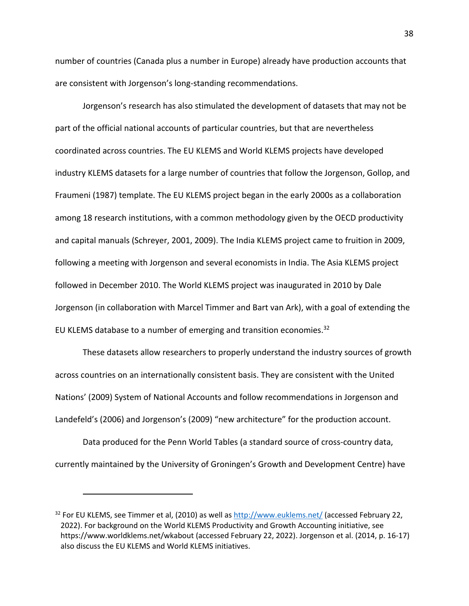number of countries (Canada plus a number in Europe) already have production accounts that are consistent with Jorgenson's long-standing recommendations.

Jorgenson's research has also stimulated the development of datasets that may not be part of the official national accounts of particular countries, but that are nevertheless coordinated across countries. The EU KLEMS and World KLEMS projects have developed industry KLEMS datasets for a large number of countries that follow the Jorgenson, Gollop, and Fraumeni (1987) template. The EU KLEMS project began in the early 2000s as a collaboration among 18 research institutions, with a common methodology given by the OECD productivity and capital manuals (Schreyer, 2001, 2009). The India KLEMS project came to fruition in 2009, following a meeting with Jorgenson and several economists in India. The Asia KLEMS project followed in December 2010. The World KLEMS project was inaugurated in 2010 by Dale Jorgenson (in collaboration with Marcel Timmer and Bart van Ark), with a goal of extending the EU KLEMS database to a number of emerging and transition economies. $32$ 

These datasets allow researchers to properly understand the industry sources of growth across countries on an internationally consistent basis. They are consistent with the United Nations' (2009) System of National Accounts and follow recommendations in Jorgenson and Landefeld's (2006) and Jorgenson's (2009) "new architecture" for the production account.

Data produced for the Penn World Tables (a standard source of cross-country data, currently maintained by the University of Groningen's Growth and Development Centre) have

<sup>&</sup>lt;sup>32</sup> For EU KLEMS, see Timmer et al, (2010) as well as http://www.euklems.net/ (accessed February 22, 2022). For background on the World KLEMS Productivity and Growth Accounting initiative, see https://www.worldklems.net/wkabout (accessed February 22, 2022). Jorgenson et al. (2014, p. 16-17) also discuss the EU KLEMS and World KLEMS initiatives.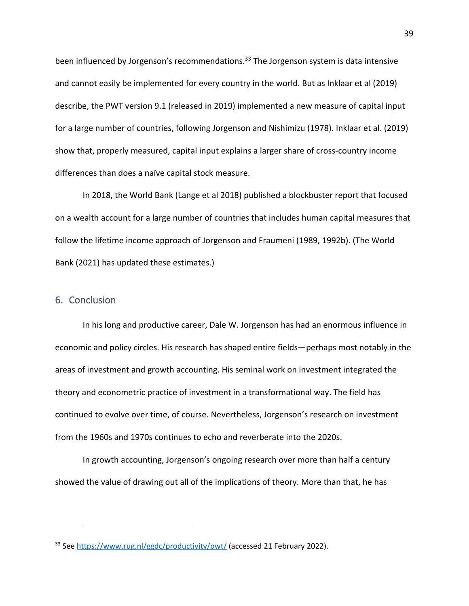been influenced by Jorgenson's recommendations.<sup>33</sup> The Jorgenson system is data intensive and cannot easily be implemented for every country in the world. But as Inklaar et al (2019) describe, the PWT version 9.1 (released in 2019) implemented a new measure of capital input for a large number of countries, following Jorgenson and Nishimizu (1978). Inklaar et al. (2019) show that, properly measured, capital input explains a larger share of cross-country income differences than does a naïve capital stock measure.

In 2018, the World Bank (Lange et al 2018) published a blockbuster report that focused on a wealth account for a large number of countries that includes human capital measures that follow the lifetime income approach of Jorgenson and Fraumeni (1989, 1992b). (The World Bank (2021) has updated these estimates.)

### 6. Conclusion

In his long and productive career, Dale W. Jorgenson has had an enormous influence in economic and policy circles. His research has shaped entire fields—perhaps most notably in the areas of investment and growth accounting. His seminal work on investment integrated the theory and econometric practice of investment in a transformational way. The field has continued to evolve over time, of course. Nevertheless, Jorgenson's research on investment from the 1960s and 1970s continues to echo and reverberate into the 2020s.

In growth accounting, Jorgenson's ongoing research over more than half a century showed the value of drawing out all of the implications of theory. More than that, he has

<sup>&</sup>lt;sup>33</sup> See https://www.rug.nl/ggdc/productivity/pwt/ (accessed 21 February 2022).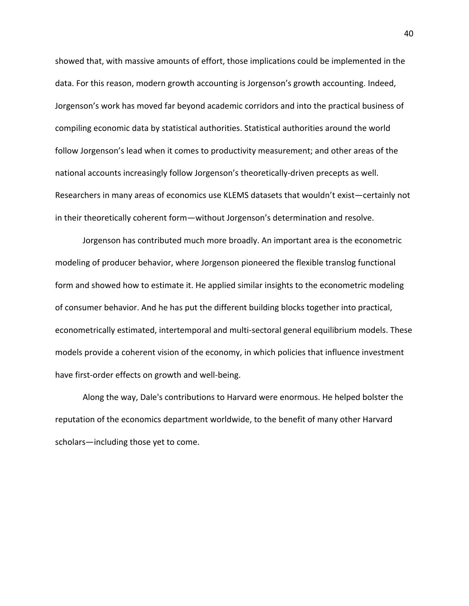showed that, with massive amounts of effort, those implications could be implemented in the data. For this reason, modern growth accounting is Jorgenson's growth accounting. Indeed, Jorgenson's work has moved far beyond academic corridors and into the practical business of compiling economic data by statistical authorities. Statistical authorities around the world follow Jorgenson's lead when it comes to productivity measurement; and other areas of the national accounts increasingly follow Jorgenson's theoretically-driven precepts as well. Researchers in many areas of economics use KLEMS datasets that wouldn't exist—certainly not in their theoretically coherent form—without Jorgenson's determination and resolve.

Jorgenson has contributed much more broadly. An important area is the econometric modeling of producer behavior, where Jorgenson pioneered the flexible translog functional form and showed how to estimate it. He applied similar insights to the econometric modeling of consumer behavior. And he has put the different building blocks together into practical, econometrically estimated, intertemporal and multi-sectoral general equilibrium models. These models provide a coherent vision of the economy, in which policies that influence investment have first-order effects on growth and well-being.

Along the way, Dale's contributions to Harvard were enormous. He helped bolster the reputation of the economics department worldwide, to the benefit of many other Harvard scholars—including those yet to come.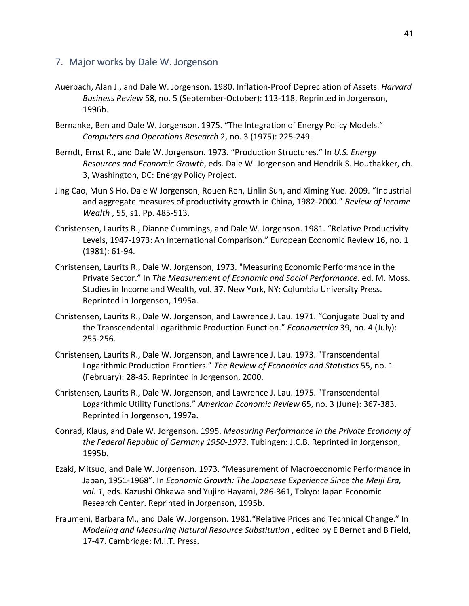## 7. Major works by Dale W. Jorgenson

- Auerbach, Alan J., and Dale W. Jorgenson. 1980. Inflation-Proof Depreciation of Assets. *Harvard Business Review* 58, no. 5 (September-October): 113-118. Reprinted in Jorgenson, 1996b.
- Bernanke, Ben and Dale W. Jorgenson. 1975. "The Integration of Energy Policy Models." *Computers and Operations Research* 2, no. 3 (1975): 225-249.
- Berndt, Ernst R., and Dale W. Jorgenson. 1973. "Production Structures." In *U.S. Energy Resources and Economic Growth*, eds. Dale W. Jorgenson and Hendrik S. Houthakker, ch. 3, Washington, DC: Energy Policy Project.
- Jing Cao, Mun S Ho, Dale W Jorgenson, Rouen Ren, Linlin Sun, and Ximing Yue. 2009. "Industrial and aggregate measures of productivity growth in China, 1982-2000." *Review of Income Wealth* , 55, s1, Pp. 485-513.
- Christensen, Laurits R., Dianne Cummings, and Dale W. Jorgenson. 1981. "Relative Productivity Levels, 1947-1973: An International Comparison." European Economic Review 16, no. 1 (1981): 61-94.
- Christensen, Laurits R., Dale W. Jorgenson, 1973. "Measuring Economic Performance in the Private Sector." In *The Measurement of Economic and Social Performance*. ed. M. Moss. Studies in Income and Wealth, vol. 37. New York, NY: Columbia University Press. Reprinted in Jorgenson, 1995a.
- Christensen, Laurits R., Dale W. Jorgenson, and Lawrence J. Lau. 1971. "Conjugate Duality and the Transcendental Logarithmic Production Function." *Econometrica* 39, no. 4 (July): 255-256.
- Christensen, Laurits R., Dale W. Jorgenson, and Lawrence J. Lau. 1973. "Transcendental Logarithmic Production Frontiers." *The Review of Economics and Statistics* 55, no. 1 (February): 28-45. Reprinted in Jorgenson, 2000.
- Christensen, Laurits R., Dale W. Jorgenson, and Lawrence J. Lau. 1975. "Transcendental Logarithmic Utility Functions." *American Economic Review* 65, no. 3 (June): 367-383. Reprinted in Jorgenson, 1997a.
- Conrad, Klaus, and Dale W. Jorgenson. 1995. *Measuring Performance in the Private Economy of the Federal Republic of Germany 1950-1973*. Tubingen: J.C.B. Reprinted in Jorgenson, 1995b.
- Ezaki, Mitsuo, and Dale W. Jorgenson. 1973. "Measurement of Macroeconomic Performance in Japan, 1951-1968". In *Economic Growth: The Japanese Experience Since the Meiji Era, vol. 1*, eds. Kazushi Ohkawa and Yujiro Hayami, 286-361, Tokyo: Japan Economic Research Center. Reprinted in Jorgenson, 1995b.
- Fraumeni, Barbara M., and Dale W. Jorgenson. 1981."Relative Prices and Technical Change." In *Modeling and Measuring Natural Resource Substitution* , edited by E Berndt and B Field, 17-47. Cambridge: M.I.T. Press.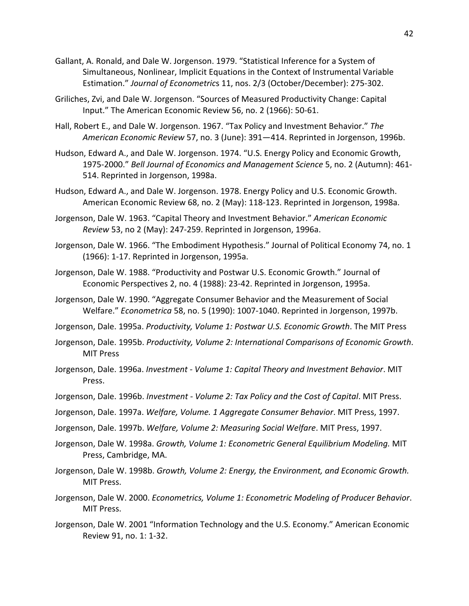- Gallant, A. Ronald, and Dale W. Jorgenson. 1979. "Statistical Inference for a System of Simultaneous, Nonlinear, Implicit Equations in the Context of Instrumental Variable Estimation." *Journal of Econometric*s 11, nos. 2/3 (October/December): 275-302.
- Griliches, Zvi, and Dale W. Jorgenson. "Sources of Measured Productivity Change: Capital Input." The American Economic Review 56, no. 2 (1966): 50-61.
- Hall, Robert E., and Dale W. Jorgenson. 1967. "Tax Policy and Investment Behavior." *The American Economic Review* 57, no. 3 (June): 391—414. Reprinted in Jorgenson, 1996b.
- Hudson, Edward A., and Dale W. Jorgenson. 1974. "U.S. Energy Policy and Economic Growth, 1975-2000." *Bell Journal of Economics and Management Science* 5, no. 2 (Autumn): 461- 514. Reprinted in Jorgenson, 1998a.
- Hudson, Edward A., and Dale W. Jorgenson. 1978. Energy Policy and U.S. Economic Growth. American Economic Review 68, no. 2 (May): 118-123. Reprinted in Jorgenson, 1998a.
- Jorgenson, Dale W. 1963. "Capital Theory and Investment Behavior." *American Economic Review* 53, no 2 (May): 247-259. Reprinted in Jorgenson, 1996a.
- Jorgenson, Dale W. 1966. "The Embodiment Hypothesis." Journal of Political Economy 74, no. 1 (1966): 1-17. Reprinted in Jorgenson, 1995a.
- Jorgenson, Dale W. 1988. "Productivity and Postwar U.S. Economic Growth." Journal of Economic Perspectives 2, no. 4 (1988): 23-42. Reprinted in Jorgenson, 1995a.
- Jorgenson, Dale W. 1990. "Aggregate Consumer Behavior and the Measurement of Social Welfare." *Econometrica* 58, no. 5 (1990): 1007-1040. Reprinted in Jorgenson, 1997b.
- Jorgenson, Dale. 1995a. *Productivity, Volume 1: Postwar U.S. Economic Growth*. The MIT Press
- Jorgenson, Dale. 1995b. *Productivity, Volume 2: International Comparisons of Economic Growth*. MIT Press
- Jorgenson, Dale. 1996a. *Investment - Volume 1: Capital Theory and Investment Behavior*. MIT Press.
- Jorgenson, Dale. 1996b. *Investment - Volume 2: Tax Policy and the Cost of Capital*. MIT Press.
- Jorgenson, Dale. 1997a. *Welfare, Volume. 1 Aggregate Consumer Behavior*. MIT Press, 1997.
- Jorgenson, Dale. 1997b. *Welfare, Volume 2: Measuring Social Welfare*. MIT Press, 1997.
- Jorgenson, Dale W. 1998a. *Growth, Volume 1: Econometric General Equilibrium Modeling.* MIT Press, Cambridge, MA.
- Jorgenson, Dale W. 1998b. *Growth, Volume 2: Energy, the Environment, and Economic Growth.* MIT Press.
- Jorgenson, Dale W. 2000. *Econometrics, Volume 1: Econometric Modeling of Producer Behavior*. MIT Press.
- Jorgenson, Dale W. 2001 "Information Technology and the U.S. Economy." American Economic Review 91, no. 1: 1-32.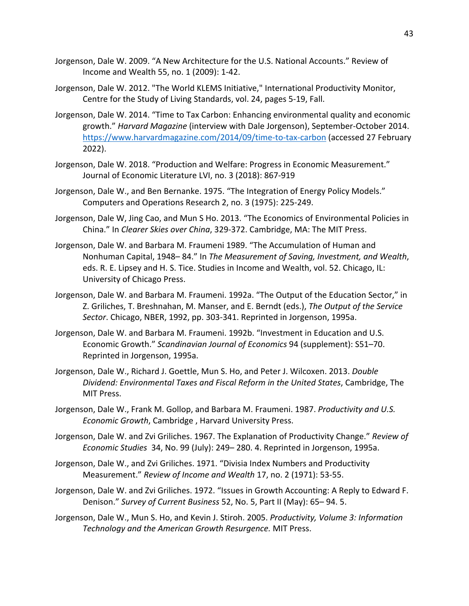- Jorgenson, Dale W. 2009. "A New Architecture for the U.S. National Accounts." Review of Income and Wealth 55, no. 1 (2009): 1-42.
- Jorgenson, Dale W. 2012. "The World KLEMS Initiative," International Productivity Monitor, Centre for the Study of Living Standards, vol. 24, pages 5-19, Fall.
- Jorgenson, Dale W. 2014. "Time to Tax Carbon: Enhancing environmental quality and economic growth." *Harvard Magazine* (interview with Dale Jorgenson), September-October 2014. https://www.harvardmagazine.com/2014/09/time-to-tax-carbon (accessed 27 February 2022).
- Jorgenson, Dale W. 2018. "Production and Welfare: Progress in Economic Measurement." Journal of Economic Literature LVI, no. 3 (2018): 867-919
- Jorgenson, Dale W., and Ben Bernanke. 1975. "The Integration of Energy Policy Models." Computers and Operations Research 2, no. 3 (1975): 225-249.
- Jorgenson, Dale W, Jing Cao, and Mun S Ho. 2013. "The Economics of Environmental Policies in China." In *Clearer Skies over China*, 329-372. Cambridge, MA: The MIT Press.
- Jorgenson, Dale W. and Barbara M. Fraumeni 1989. "The Accumulation of Human and Nonhuman Capital, 1948– 84." In *The Measurement of Saving, Investment, and Wealth*, eds. R. E. Lipsey and H. S. Tice. Studies in Income and Wealth, vol. 52. Chicago, IL: University of Chicago Press.
- Jorgenson, Dale W. and Barbara M. Fraumeni. 1992a. "The Output of the Education Sector," in Z. Griliches, T. Breshnahan, M. Manser, and E. Berndt (eds.), *The Output of the Service Sector*. Chicago, NBER, 1992, pp. 303-341. Reprinted in Jorgenson, 1995a.
- Jorgenson, Dale W. and Barbara M. Fraumeni. 1992b. "Investment in Education and U.S. Economic Growth." *Scandinavian Journal of Economics* 94 (supplement): S51–70. Reprinted in Jorgenson, 1995a.
- Jorgenson, Dale W., Richard J. Goettle, Mun S. Ho, and Peter J. Wilcoxen. 2013. *Double Dividend: Environmental Taxes and Fiscal Reform in the United States*, Cambridge, The MIT Press.
- Jorgenson, Dale W., Frank M. Gollop, and Barbara M. Fraumeni. 1987. *Productivity and U.S. Economic Growth*, Cambridge , Harvard University Press.
- Jorgenson, Dale W. and Zvi Griliches. 1967. The Explanation of Productivity Change." *Review of Economic Studies* 34, No. 99 (July): 249– 280. 4. Reprinted in Jorgenson, 1995a.
- Jorgenson, Dale W., and Zvi Griliches. 1971. "Divisia Index Numbers and Productivity Measurement." *Review of Income and Wealth* 17, no. 2 (1971): 53-55.
- Jorgenson, Dale W. and Zvi Griliches. 1972. "Issues in Growth Accounting: A Reply to Edward F. Denison." *Survey of Current Business* 52, No. 5, Part II (May): 65– 94. 5.
- Jorgenson, Dale W., Mun S. Ho, and Kevin J. Stiroh. 2005. *Productivity, Volume 3: Information Technology and the American Growth Resurgence.* MIT Press.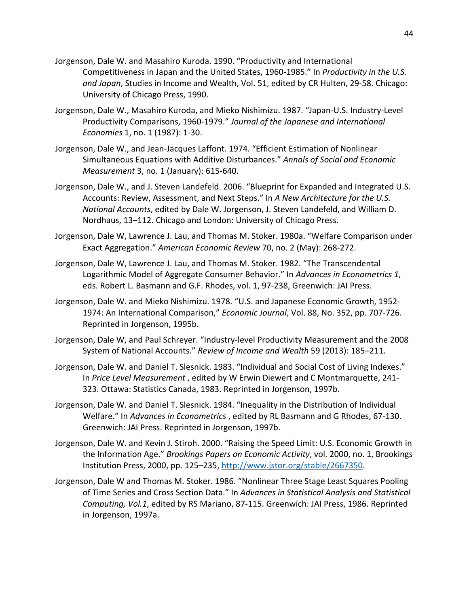- Jorgenson, Dale W. and Masahiro Kuroda. 1990. "Productivity and International Competitiveness in Japan and the United States, 1960-1985." In *Productivity in the U.S. and Japan*, Studies in Income and Wealth, Vol. 51, edited by CR Hulten, 29-58. Chicago: University of Chicago Press, 1990.
- Jorgenson, Dale W., Masahiro Kuroda, and Mieko Nishimizu. 1987. "Japan-U.S. Industry-Level Productivity Comparisons, 1960-1979." *Journal of the Japanese and International Economies* 1, no. 1 (1987): 1-30.
- Jorgenson, Dale W., and Jean-Jacques Laffont. 1974. "Efficient Estimation of Nonlinear Simultaneous Equations with Additive Disturbances." *Annals of Social and Economic Measurement* 3, no. 1 (January): 615-640.
- Jorgenson, Dale W., and J. Steven Landefeld. 2006. "Blueprint for Expanded and Integrated U.S. Accounts: Review, Assessment, and Next Steps." In *A New Architecture for the U.S. National Accounts*, edited by Dale W. Jorgenson, J. Steven Landefeld, and William D. Nordhaus, 13–112. Chicago and London: University of Chicago Press.
- Jorgenson, Dale W, Lawrence J. Lau, and Thomas M. Stoker. 1980a. "Welfare Comparison under Exact Aggregation." *American Economic Review* 70, no. 2 (May): 268-272.
- Jorgenson, Dale W, Lawrence J. Lau, and Thomas M. Stoker. 1982. "The Transcendental Logarithmic Model of Aggregate Consumer Behavior." In *Advances in Econometrics 1*, eds. Robert L. Basmann and G.F. Rhodes, vol. 1, 97-238, Greenwich: JAI Press.
- Jorgenson, Dale W. and Mieko Nishimizu. 1978. "U.S. and Japanese Economic Growth, 1952- 1974: An International Comparison," *Economic Journal*, Vol. 88, No. 352, pp. 707-726. Reprinted in Jorgenson, 1995b.
- Jorgenson, Dale W, and Paul Schreyer. "Industry-level Productivity Measurement and the 2008 System of National Accounts." *Review of Income and Wealth* 59 (2013): 185–211.
- Jorgenson, Dale W. and Daniel T. Slesnick. 1983. "Individual and Social Cost of Living Indexes." In *Price Level Measurement* , edited by W Erwin Diewert and C Montmarquette, 241- 323. Ottawa: Statistics Canada, 1983. Reprinted in Jorgenson, 1997b.
- Jorgenson, Dale W. and Daniel T. Slesnick. 1984. "Inequality in the Distribution of Individual Welfare." In *Advances in Econometrics* , edited by RL Basmann and G Rhodes, 67-130. Greenwich: JAI Press. Reprinted in Jorgenson, 1997b.
- Jorgenson, Dale W. and Kevin J. Stiroh. 2000. "Raising the Speed Limit: U.S. Economic Growth in the Information Age." *Brookings Papers on Economic Activity*, vol. 2000, no. 1, Brookings Institution Press, 2000, pp. 125–235, http://www.jstor.org/stable/2667350.
- Jorgenson, Dale W and Thomas M. Stoker. 1986. "Nonlinear Three Stage Least Squares Pooling of Time Series and Cross Section Data." In *Advances in Statistical Analysis and Statistical Computing, Vol.1*, edited by RS Mariano, 87-115. Greenwich: JAI Press, 1986. Reprinted in Jorgenson, 1997a.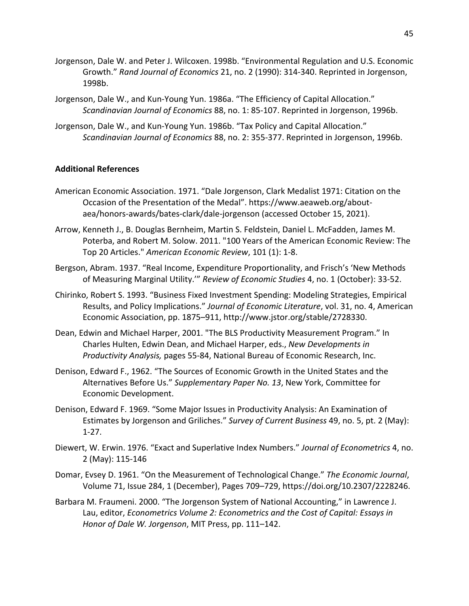- Jorgenson, Dale W. and Peter J. Wilcoxen. 1998b. "Environmental Regulation and U.S. Economic Growth." *Rand Journal of Economics* 21, no. 2 (1990): 314-340. Reprinted in Jorgenson, 1998b.
- Jorgenson, Dale W., and Kun-Young Yun. 1986a. "The Efficiency of Capital Allocation." *Scandinavian Journal of Economics* 88, no. 1: 85-107. Reprinted in Jorgenson, 1996b.
- Jorgenson, Dale W., and Kun-Young Yun. 1986b. "Tax Policy and Capital Allocation." *Scandinavian Journal of Economics* 88, no. 2: 355-377. Reprinted in Jorgenson, 1996b.

#### **Additional References**

- American Economic Association. 1971. "Dale Jorgenson, Clark Medalist 1971: Citation on the Occasion of the Presentation of the Medal". https://www.aeaweb.org/aboutaea/honors-awards/bates-clark/dale-jorgenson (accessed October 15, 2021).
- Arrow, Kenneth J., B. Douglas Bernheim, Martin S. Feldstein, Daniel L. McFadden, James M. Poterba, and Robert M. Solow. 2011. "100 Years of the American Economic Review: The Top 20 Articles." *American Economic Review*, 101 (1): 1-8.
- Bergson, Abram. 1937. "Real Income, Expenditure Proportionality, and Frisch's 'New Methods of Measuring Marginal Utility.'" *Review of Economic Studies* 4, no. 1 (October): 33-52.
- Chirinko, Robert S. 1993. "Business Fixed Investment Spending: Modeling Strategies, Empirical Results, and Policy Implications." *Journal of Economic Literature*, vol. 31, no. 4, American Economic Association, pp. 1875–911, http://www.jstor.org/stable/2728330.
- Dean, Edwin and Michael Harper, 2001. "The BLS Productivity Measurement Program." In Charles Hulten, Edwin Dean, and Michael Harper, eds., *New Developments in Productivity Analysis,* pages 55-84, National Bureau of Economic Research, Inc.
- Denison, Edward F., 1962. "The Sources of Economic Growth in the United States and the Alternatives Before Us." *Supplementary Paper No. 13*, New York, Committee for Economic Development.
- Denison, Edward F. 1969. "Some Major Issues in Productivity Analysis: An Examination of Estimates by Jorgenson and Griliches." *Survey of Current Business* 49, no. 5, pt. 2 (May): 1-27.
- Diewert, W. Erwin. 1976. "Exact and Superlative Index Numbers." *Journal of Econometrics* 4, no. 2 (May): 115-146
- Domar, Evsey D. 1961. "On the Measurement of Technological Change." *The Economic Journal*, Volume 71, Issue 284, 1 (December), Pages 709–729, https://doi.org/10.2307/2228246.
- Barbara M. Fraumeni. 2000. "The Jorgenson System of National Accounting," in Lawrence J. Lau, editor, *Econometrics Volume 2: Econometrics and the Cost of Capital: Essays in Honor of Dale W. Jorgenson*, MIT Press, pp. 111–142.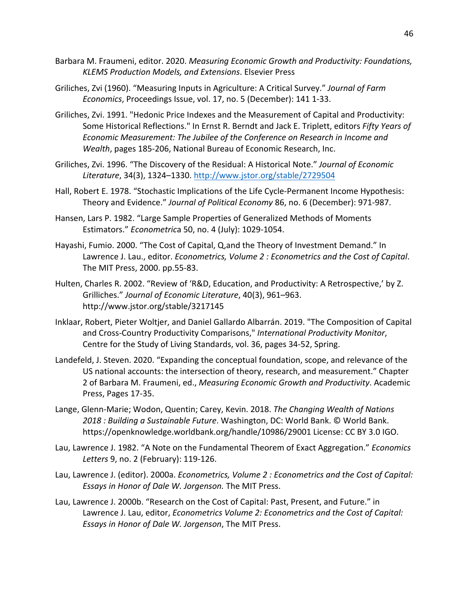- Barbara M. Fraumeni, editor. 2020. *Measuring Economic Growth and Productivity: Foundations, KLEMS Production Models, and Extensions*. Elsevier Press
- Griliches, Zvi (1960). "Measuring Inputs in Agriculture: A Critical Survey." *Journal of Farm Economics*, Proceedings Issue, vol. 17, no. 5 (December): 141 1-33.
- Griliches, Zvi. 1991. "Hedonic Price Indexes and the Measurement of Capital and Productivity: Some Historical Reflections." In Ernst R. Berndt and Jack E. Triplett, editors *Fifty Years of Economic Measurement: The Jubilee of the Conference on Research in Income and Wealth*, pages 185-206, National Bureau of Economic Research, Inc.
- Griliches, Zvi. 1996. "The Discovery of the Residual: A Historical Note." *Journal of Economic Literature*, 34(3), 1324–1330. http://www.jstor.org/stable/2729504
- Hall, Robert E. 1978. "Stochastic Implications of the Life Cycle-Permanent Income Hypothesis: Theory and Evidence." *Journal of Political Economy* 86, no. 6 (December): 971-987.
- Hansen, Lars P. 1982. "Large Sample Properties of Generalized Methods of Moments Estimators." *Econometric*a 50, no. 4 (July): 1029-1054.
- Hayashi, Fumio. 2000. "The Cost of Capital, Q,and the Theory of Investment Demand." In Lawrence J. Lau., editor. *Econometrics, Volume 2 : Econometrics and the Cost of Capital*. The MIT Press, 2000. pp.55-83.
- Hulten, Charles R. 2002. "Review of 'R&D, Education, and Productivity: A Retrospective,' by Z. Grilliches." *Journal of Economic Literature*, 40(3), 961–963. http://www.jstor.org/stable/3217145
- Inklaar, Robert, Pieter Woltjer, and Daniel Gallardo Albarrán. 2019. "The Composition of Capital and Cross-Country Productivity Comparisons," *International Productivity Monitor*, Centre for the Study of Living Standards, vol. 36, pages 34-52, Spring.
- Landefeld, J. Steven. 2020. "Expanding the conceptual foundation, scope, and relevance of the US national accounts: the intersection of theory, research, and measurement." Chapter 2 of Barbara M. Fraumeni, ed., *Measuring Economic Growth and Productivity*. Academic Press, Pages 17-35.
- Lange, Glenn-Marie; Wodon, Quentin; Carey, Kevin. 2018. *The Changing Wealth of Nations 2018 : Building a Sustainable Future*. Washington, DC: World Bank. © World Bank. https://openknowledge.worldbank.org/handle/10986/29001 License: CC BY 3.0 IGO.
- Lau, Lawrence J. 1982. "A Note on the Fundamental Theorem of Exact Aggregation." *Economics Letters* 9, no. 2 (February): 119-126.
- Lau, Lawrence J. (editor). 2000a. *Econometrics, Volume 2 : Econometrics and the Cost of Capital: Essays in Honor of Dale W. Jorgenson.* The MIT Press.
- Lau, Lawrence J. 2000b. "Research on the Cost of Capital: Past, Present, and Future." in Lawrence J. Lau, editor, *Econometrics Volume 2: Econometrics and the Cost of Capital: Essays in Honor of Dale W. Jorgenson*, The MIT Press.